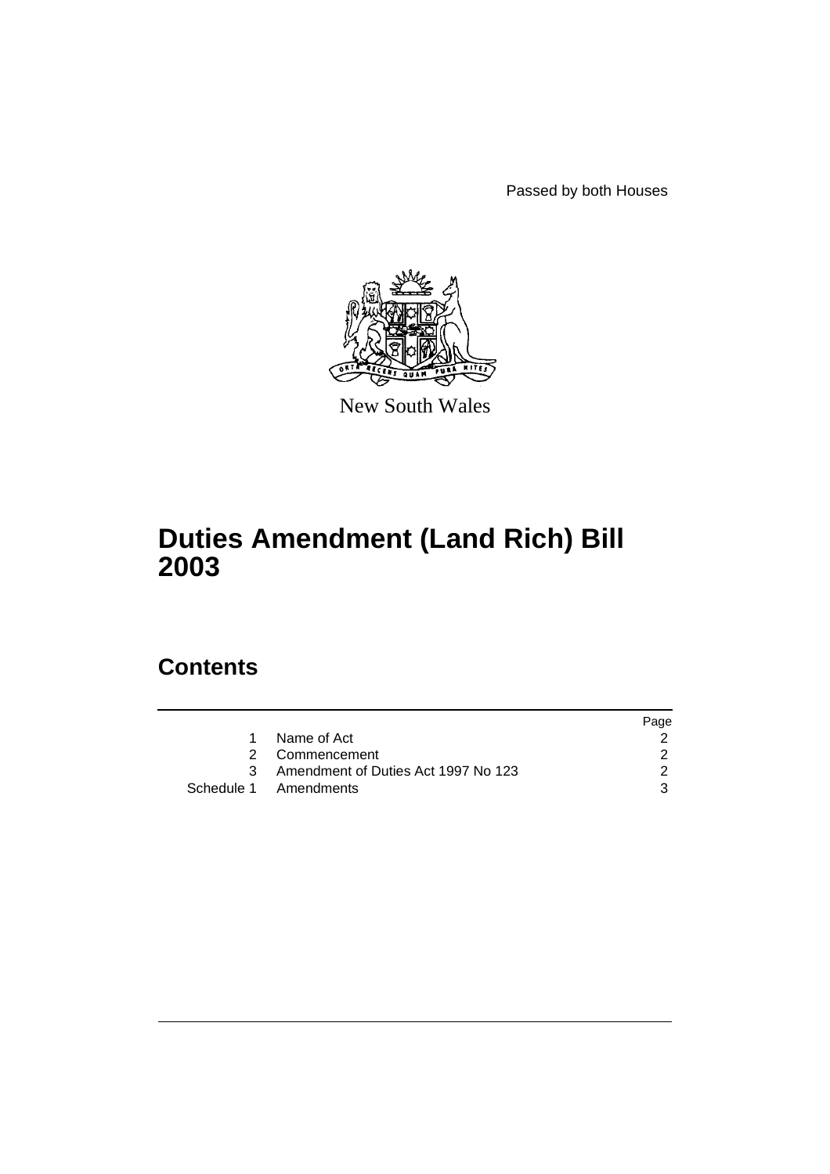Passed by both Houses



New South Wales

# **Duties Amendment (Land Rich) Bill 2003**

# **Contents**

|                                       | Page |
|---------------------------------------|------|
| Name of Act                           |      |
| 2 Commencement                        |      |
| 3 Amendment of Duties Act 1997 No 123 |      |
| Schedule 1 Amendments                 |      |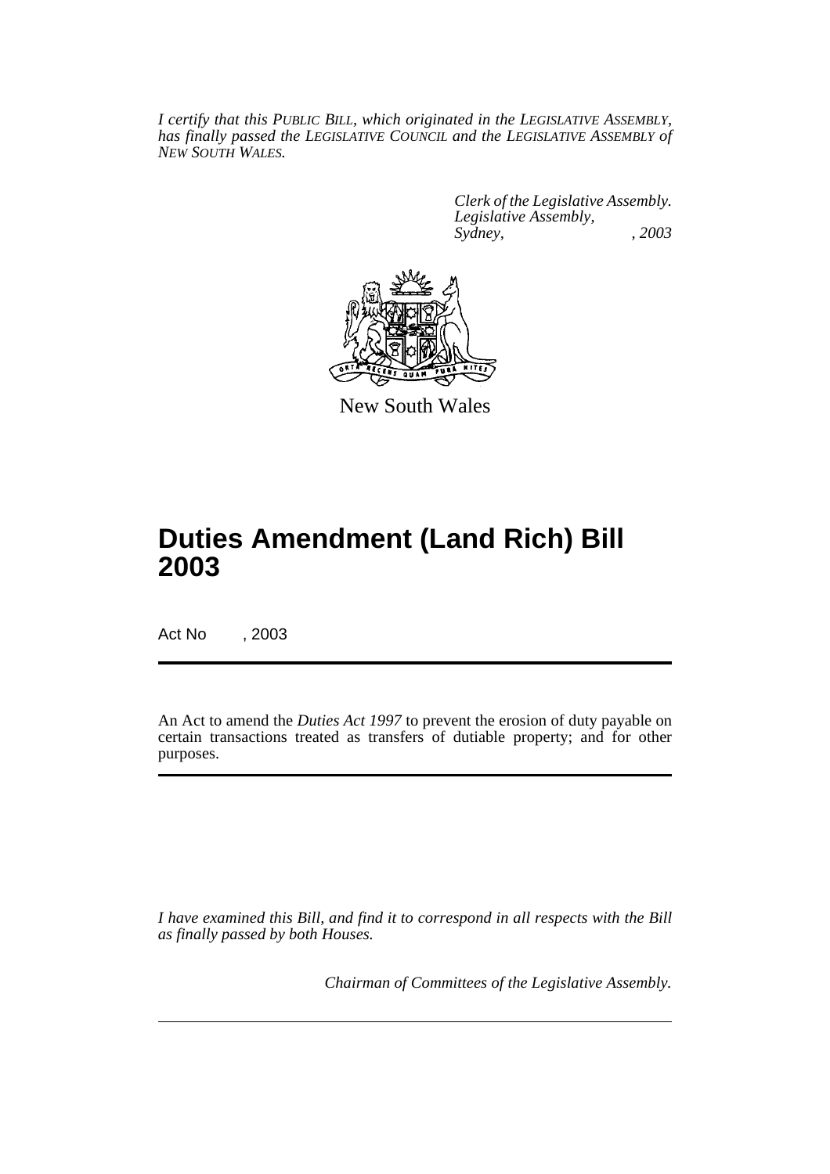*I certify that this PUBLIC BILL, which originated in the LEGISLATIVE ASSEMBLY, has finally passed the LEGISLATIVE COUNCIL and the LEGISLATIVE ASSEMBLY of NEW SOUTH WALES.*

> *Clerk of the Legislative Assembly. Legislative Assembly, Sydney, , 2003*



New South Wales

# **Duties Amendment (Land Rich) Bill 2003**

Act No , 2003

An Act to amend the *Duties Act 1997* to prevent the erosion of duty payable on certain transactions treated as transfers of dutiable property; and for other purposes.

*I have examined this Bill, and find it to correspond in all respects with the Bill as finally passed by both Houses.*

*Chairman of Committees of the Legislative Assembly.*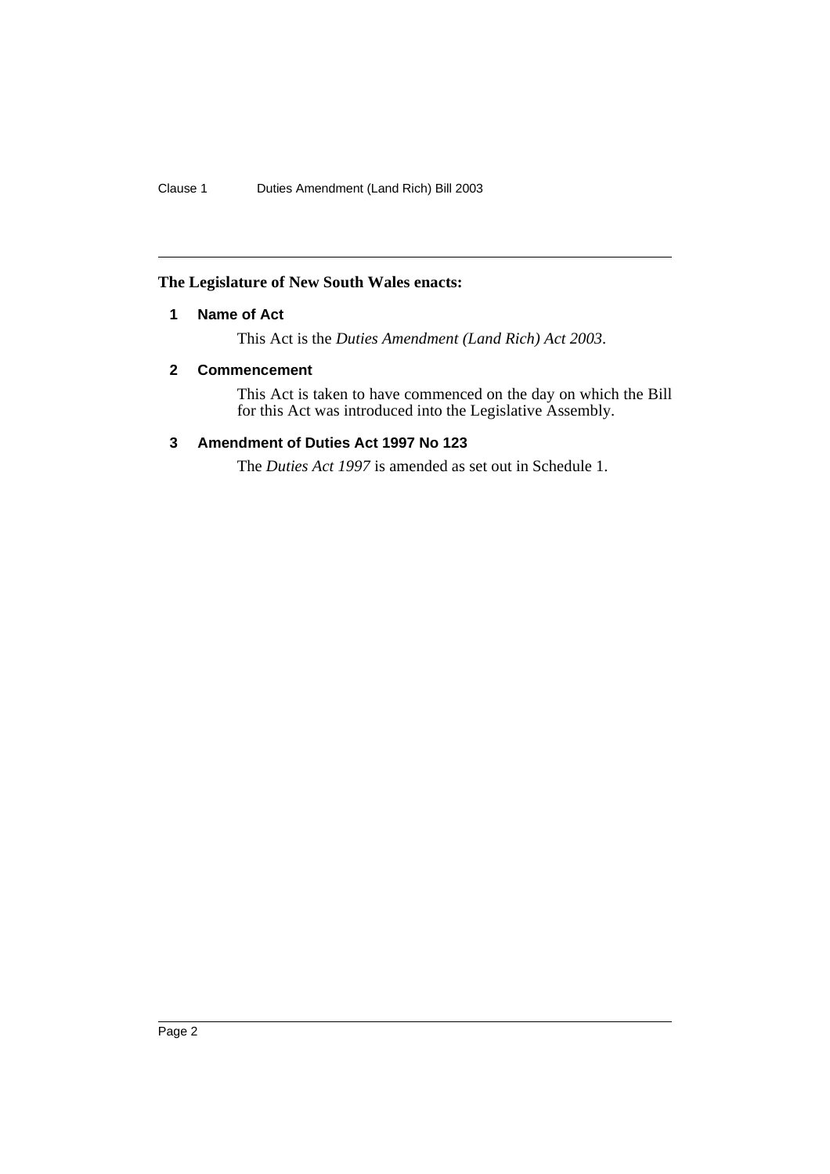## **The Legislature of New South Wales enacts:**

## **1 Name of Act**

This Act is the *Duties Amendment (Land Rich) Act 2003*.

## **2 Commencement**

This Act is taken to have commenced on the day on which the Bill for this Act was introduced into the Legislative Assembly.

## **3 Amendment of Duties Act 1997 No 123**

The *Duties Act 1997* is amended as set out in Schedule 1.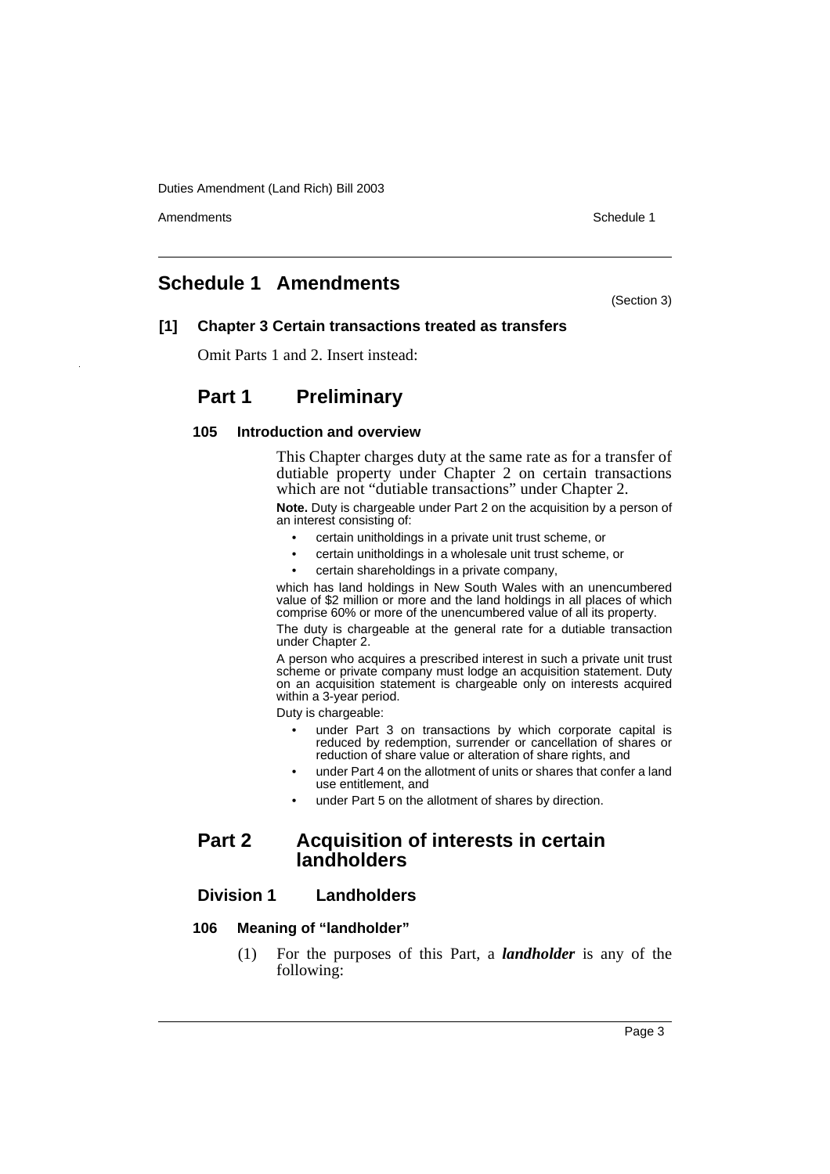Amendments **Amendments** Schedule 1

## **Schedule 1 Amendments**

(Section 3)

## **[1] Chapter 3 Certain transactions treated as transfers**

Omit Parts 1 and 2. Insert instead:

## **Part 1 Preliminary**

## **105 Introduction and overview**

This Chapter charges duty at the same rate as for a transfer of dutiable property under Chapter 2 on certain transactions which are not "dutiable transactions" under Chapter 2.

**Note.** Duty is chargeable under Part 2 on the acquisition by a person of an interest consisting of:

- certain unitholdings in a private unit trust scheme, or
- certain unitholdings in a wholesale unit trust scheme, or
- certain shareholdings in a private company,

which has land holdings in New South Wales with an unencumbered value of \$2 million or more and the land holdings in all places of which comprise 60% or more of the unencumbered value of all its property.

The duty is chargeable at the general rate for a dutiable transaction under Chapter 2.

A person who acquires a prescribed interest in such a private unit trust scheme or private company must lodge an acquisition statement. Duty on an acquisition statement is chargeable only on interests acquired within a 3-year period.

Duty is chargeable:

- under Part 3 on transactions by which corporate capital is reduced by redemption, surrender or cancellation of shares or reduction of share value or alteration of share rights, and
- under Part 4 on the allotment of units or shares that confer a land use entitlement, and
- under Part 5 on the allotment of shares by direction.

## **Part 2 Acquisition of interests in certain landholders**

## **Division 1 Landholders**

## **106 Meaning of "landholder"**

(1) For the purposes of this Part, a *landholder* is any of the following: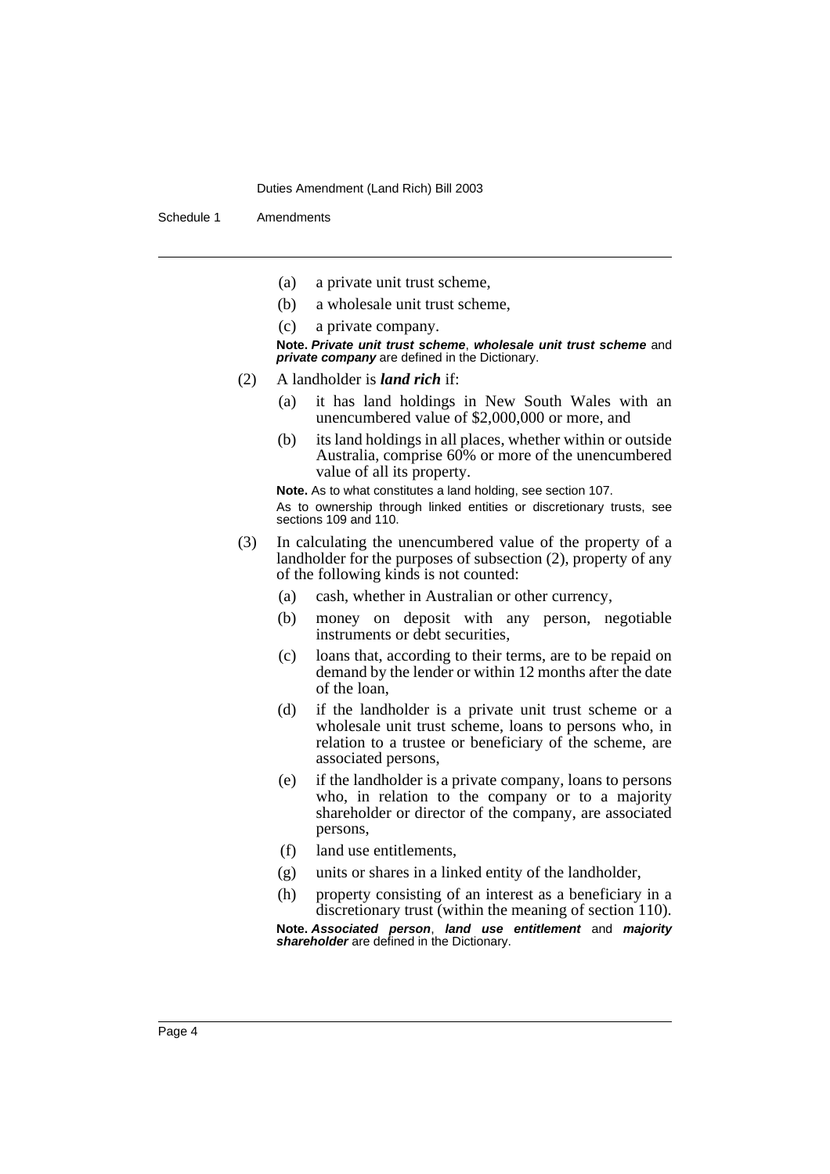Schedule 1 Amendments

- (a) a private unit trust scheme,
- (b) a wholesale unit trust scheme,
- (c) a private company.

**Note. Private unit trust scheme**, **wholesale unit trust scheme** and **private company** are defined in the Dictionary.

- (2) A landholder is *land rich* if:
	- (a) it has land holdings in New South Wales with an unencumbered value of \$2,000,000 or more, and
	- (b) its land holdings in all places, whether within or outside Australia, comprise 60% or more of the unencumbered value of all its property.

**Note.** As to what constitutes a land holding, see section 107.

As to ownership through linked entities or discretionary trusts, see sections 109 and 110.

- (3) In calculating the unencumbered value of the property of a landholder for the purposes of subsection (2), property of any of the following kinds is not counted:
	- (a) cash, whether in Australian or other currency,
	- (b) money on deposit with any person, negotiable instruments or debt securities,
	- (c) loans that, according to their terms, are to be repaid on demand by the lender or within 12 months after the date of the loan,
	- (d) if the landholder is a private unit trust scheme or a wholesale unit trust scheme, loans to persons who, in relation to a trustee or beneficiary of the scheme, are associated persons,
	- (e) if the landholder is a private company, loans to persons who, in relation to the company or to a majority shareholder or director of the company, are associated persons,
	- (f) land use entitlements,
	- (g) units or shares in a linked entity of the landholder,
	- (h) property consisting of an interest as a beneficiary in a discretionary trust (within the meaning of section 110).

**Note. Associated person**, **land use entitlement** and **majority shareholder** are defined in the Dictionary.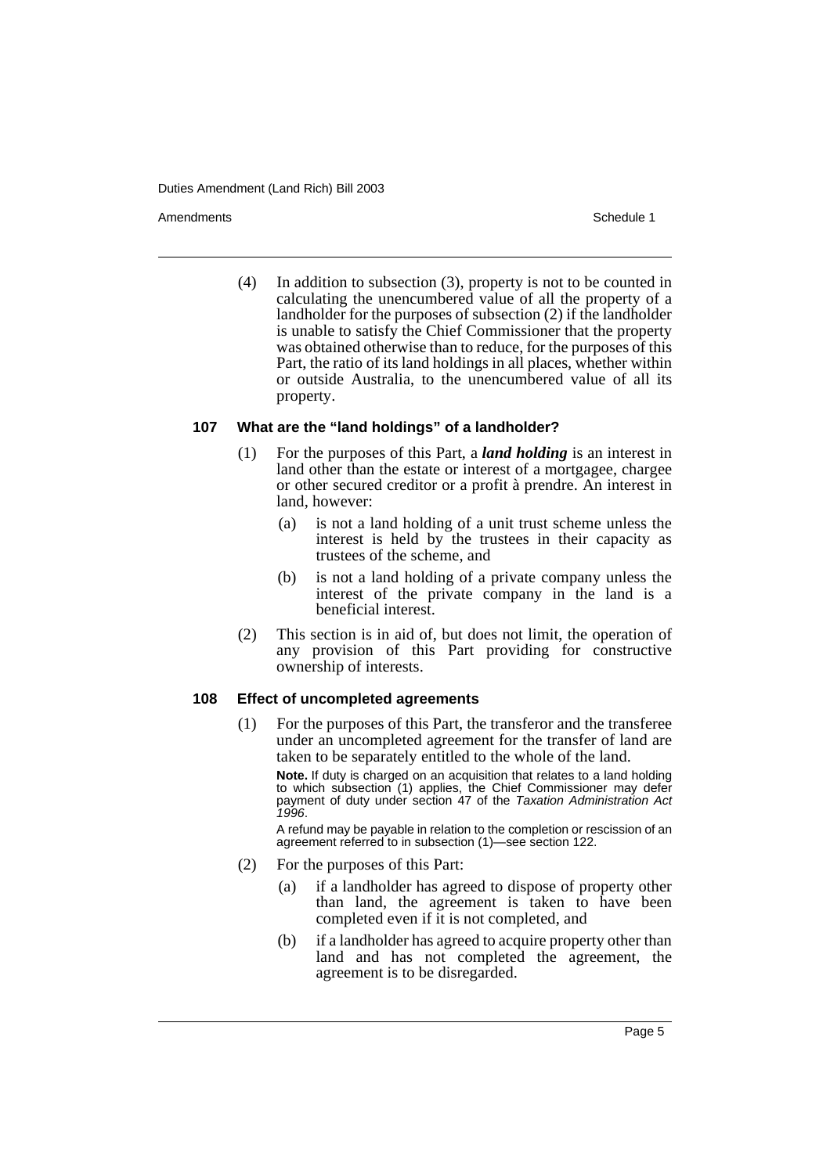Amendments **Amendments** Schedule 1

(4) In addition to subsection (3), property is not to be counted in calculating the unencumbered value of all the property of a landholder for the purposes of subsection (2) if the landholder is unable to satisfy the Chief Commissioner that the property was obtained otherwise than to reduce, for the purposes of this Part, the ratio of its land holdings in all places, whether within or outside Australia, to the unencumbered value of all its property.

## **107 What are the "land holdings" of a landholder?**

- (1) For the purposes of this Part, a *land holding* is an interest in land other than the estate or interest of a mortgagee, chargee or other secured creditor or a profit à prendre. An interest in land, however:
	- (a) is not a land holding of a unit trust scheme unless the interest is held by the trustees in their capacity as trustees of the scheme, and
	- (b) is not a land holding of a private company unless the interest of the private company in the land is a beneficial interest.
- (2) This section is in aid of, but does not limit, the operation of any provision of this Part providing for constructive ownership of interests.

## **108 Effect of uncompleted agreements**

(1) For the purposes of this Part, the transferor and the transferee under an uncompleted agreement for the transfer of land are taken to be separately entitled to the whole of the land.

**Note.** If duty is charged on an acquisition that relates to a land holding to which subsection (1) applies, the Chief Commissioner may defer payment of duty under section 47 of the Taxation Administration Act 1996.

A refund may be payable in relation to the completion or rescission of an agreement referred to in subsection (1)—see section 122.

- (2) For the purposes of this Part:
	- (a) if a landholder has agreed to dispose of property other than land, the agreement is taken to have been completed even if it is not completed, and
	- (b) if a landholder has agreed to acquire property other than land and has not completed the agreement, the agreement is to be disregarded.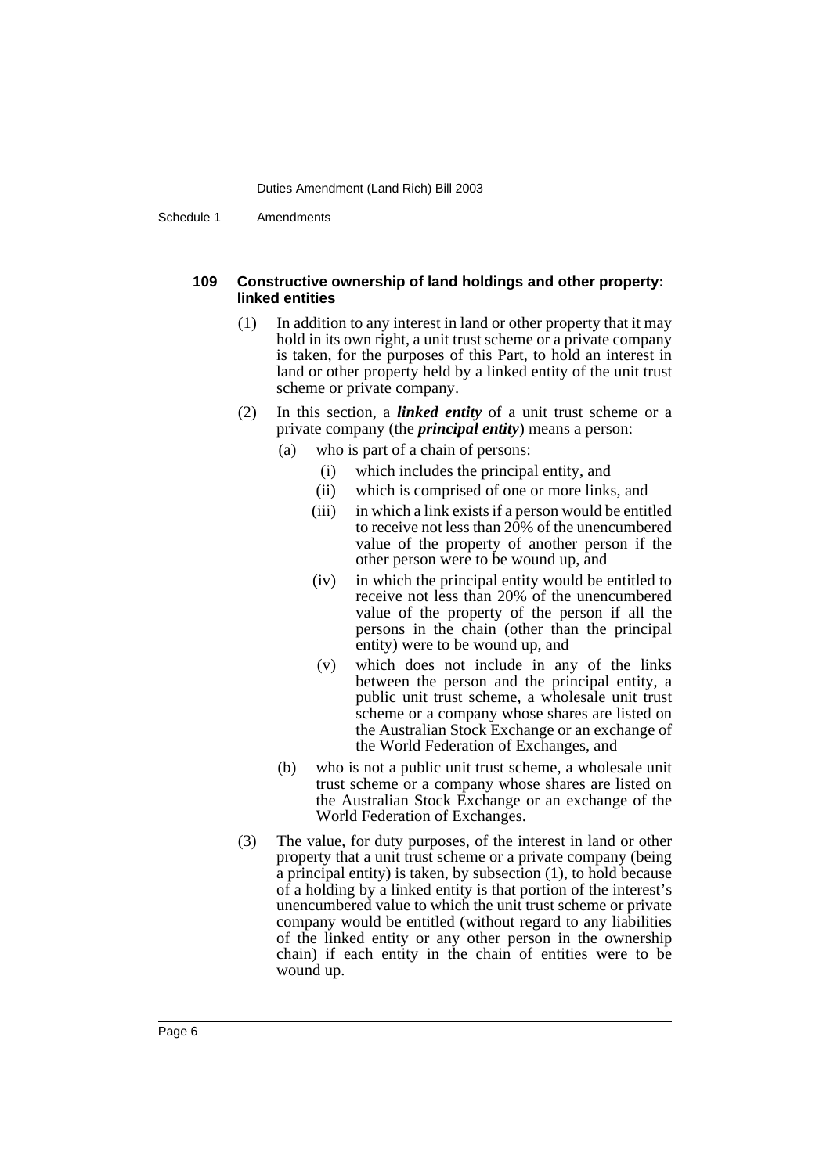Schedule 1 Amendments

## **109 Constructive ownership of land holdings and other property: linked entities**

- (1) In addition to any interest in land or other property that it may hold in its own right, a unit trust scheme or a private company is taken, for the purposes of this Part, to hold an interest in land or other property held by a linked entity of the unit trust scheme or private company.
- (2) In this section, a *linked entity* of a unit trust scheme or a private company (the *principal entity*) means a person:
	- (a) who is part of a chain of persons:
		- (i) which includes the principal entity, and
		- (ii) which is comprised of one or more links, and
		- (iii) in which a link exists if a person would be entitled to receive not less than  $20\%$  of the unencumbered value of the property of another person if the other person were to be wound up, and
		- (iv) in which the principal entity would be entitled to receive not less than 20% of the unencumbered value of the property of the person if all the persons in the chain (other than the principal entity) were to be wound up, and
		- (v) which does not include in any of the links between the person and the principal entity, a public unit trust scheme, a wholesale unit trust scheme or a company whose shares are listed on the Australian Stock Exchange or an exchange of the World Federation of Exchanges, and
	- (b) who is not a public unit trust scheme, a wholesale unit trust scheme or a company whose shares are listed on the Australian Stock Exchange or an exchange of the World Federation of Exchanges.
- (3) The value, for duty purposes, of the interest in land or other property that a unit trust scheme or a private company (being a principal entity) is taken, by subsection (1), to hold because of a holding by a linked entity is that portion of the interest's unencumbered value to which the unit trust scheme or private company would be entitled (without regard to any liabilities of the linked entity or any other person in the ownership chain) if each entity in the chain of entities were to be wound up.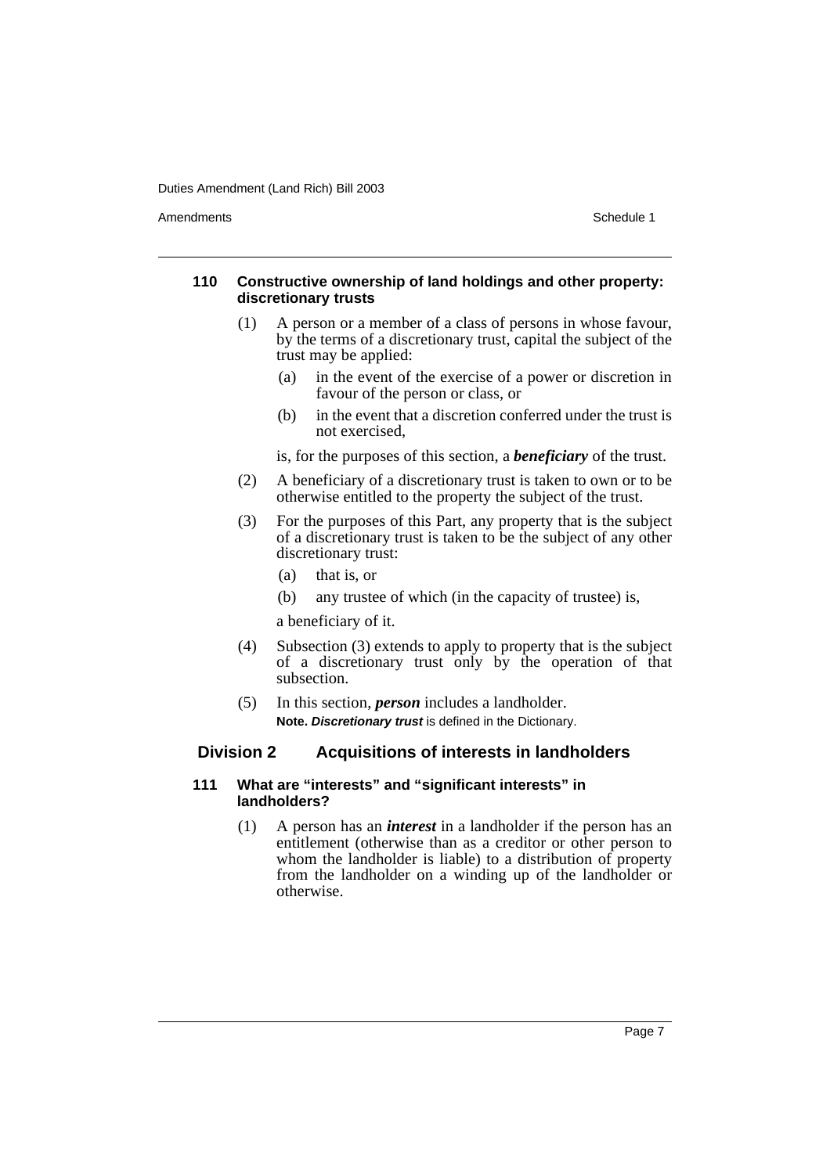Amendments **Schedule 1** and the set of the set of the set of the set of the set of the set of the set of the set of the set of the set of the set of the set of the set of the set of the set of the set of the set of the set

## **110 Constructive ownership of land holdings and other property: discretionary trusts**

- (1) A person or a member of a class of persons in whose favour, by the terms of a discretionary trust, capital the subject of the trust may be applied:
	- (a) in the event of the exercise of a power or discretion in favour of the person or class, or
	- (b) in the event that a discretion conferred under the trust is not exercised,

is, for the purposes of this section, a *beneficiary* of the trust.

- (2) A beneficiary of a discretionary trust is taken to own or to be otherwise entitled to the property the subject of the trust.
- (3) For the purposes of this Part, any property that is the subject of a discretionary trust is taken to be the subject of any other discretionary trust:
	- (a) that is, or
	- (b) any trustee of which (in the capacity of trustee) is,

a beneficiary of it.

- (4) Subsection (3) extends to apply to property that is the subject of a discretionary trust only by the operation of that subsection.
- (5) In this section, *person* includes a landholder. **Note. Discretionary trust** is defined in the Dictionary.

## **Division 2 Acquisitions of interests in landholders**

## **111 What are "interests" and "significant interests" in landholders?**

(1) A person has an *interest* in a landholder if the person has an entitlement (otherwise than as a creditor or other person to whom the landholder is liable) to a distribution of property from the landholder on a winding up of the landholder or otherwise.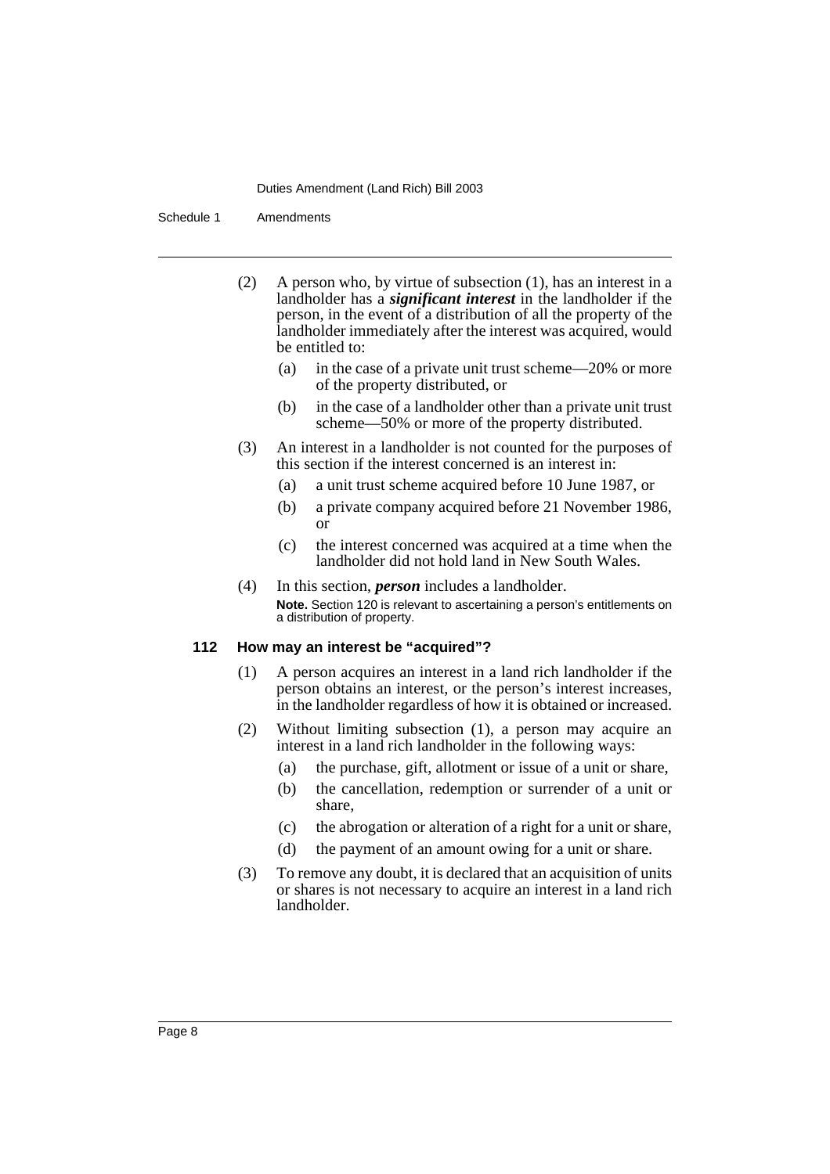Schedule 1 Amendments

- (2) A person who, by virtue of subsection (1), has an interest in a landholder has a *significant interest* in the landholder if the person, in the event of a distribution of all the property of the landholder immediately after the interest was acquired, would be entitled to:
	- (a) in the case of a private unit trust scheme—20% or more of the property distributed, or
	- (b) in the case of a landholder other than a private unit trust scheme—50% or more of the property distributed.
- (3) An interest in a landholder is not counted for the purposes of this section if the interest concerned is an interest in:
	- (a) a unit trust scheme acquired before 10 June 1987, or
	- (b) a private company acquired before 21 November 1986, or
	- (c) the interest concerned was acquired at a time when the landholder did not hold land in New South Wales.
- (4) In this section, *person* includes a landholder. **Note.** Section 120 is relevant to ascertaining a person's entitlements on a distribution of property.

## **112 How may an interest be "acquired"?**

- (1) A person acquires an interest in a land rich landholder if the person obtains an interest, or the person's interest increases, in the landholder regardless of how it is obtained or increased.
- (2) Without limiting subsection (1), a person may acquire an interest in a land rich landholder in the following ways:
	- (a) the purchase, gift, allotment or issue of a unit or share,
	- (b) the cancellation, redemption or surrender of a unit or share,
	- (c) the abrogation or alteration of a right for a unit or share,
	- (d) the payment of an amount owing for a unit or share.
- (3) To remove any doubt, it is declared that an acquisition of units or shares is not necessary to acquire an interest in a land rich landholder.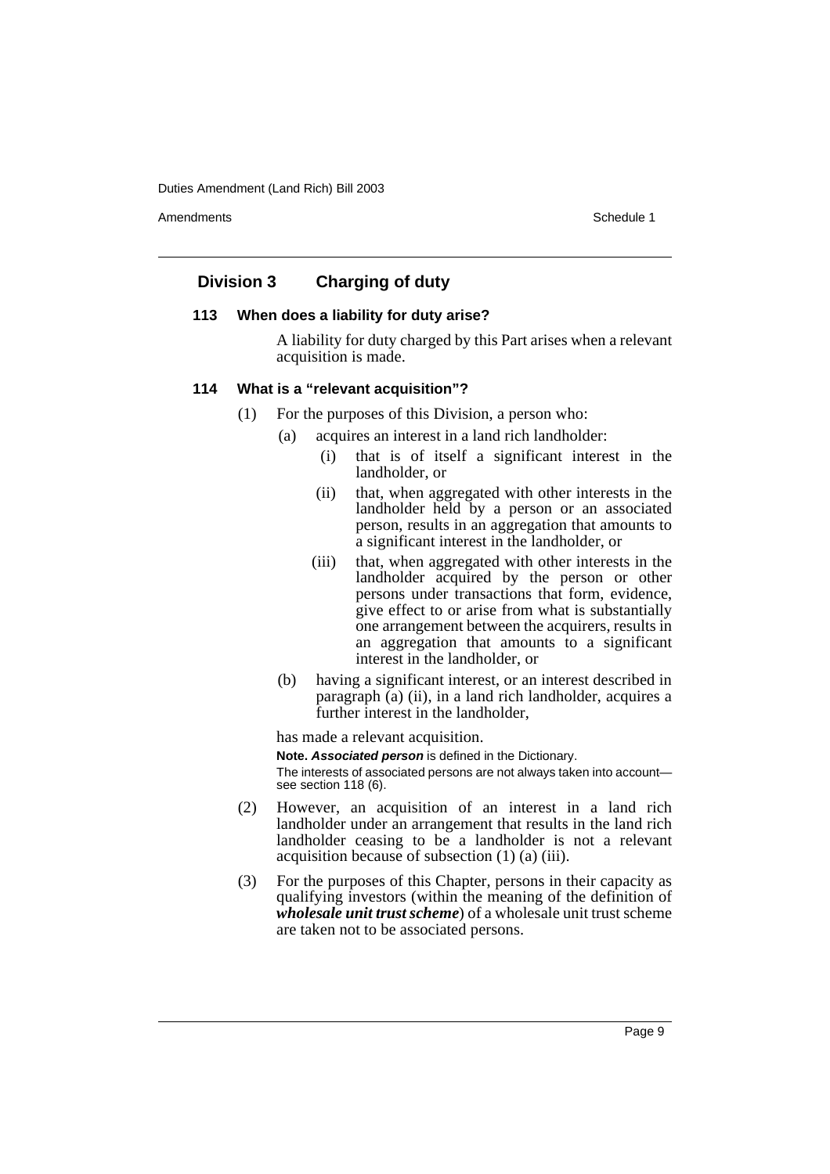Amendments **Amendments** Schedule 1

## **Division 3 Charging of duty**

## **113 When does a liability for duty arise?**

A liability for duty charged by this Part arises when a relevant acquisition is made.

## **114 What is a "relevant acquisition"?**

- (1) For the purposes of this Division, a person who:
	- (a) acquires an interest in a land rich landholder:
		- (i) that is of itself a significant interest in the landholder, or
		- (ii) that, when aggregated with other interests in the landholder held by a person or an associated person, results in an aggregation that amounts to a significant interest in the landholder, or
		- (iii) that, when aggregated with other interests in the landholder acquired by the person or other persons under transactions that form, evidence, give effect to or arise from what is substantially one arrangement between the acquirers, results in an aggregation that amounts to a significant interest in the landholder, or
	- (b) having a significant interest, or an interest described in paragraph (a) (ii), in a land rich landholder, acquires a further interest in the landholder,

has made a relevant acquisition.

**Note. Associated person** is defined in the Dictionary. The interests of associated persons are not always taken into account see section 118 (6).

- (2) However, an acquisition of an interest in a land rich landholder under an arrangement that results in the land rich landholder ceasing to be a landholder is not a relevant acquisition because of subsection (1) (a) (iii).
- (3) For the purposes of this Chapter, persons in their capacity as qualifying investors (within the meaning of the definition of *wholesale unit trust scheme*) of a wholesale unit trust scheme are taken not to be associated persons.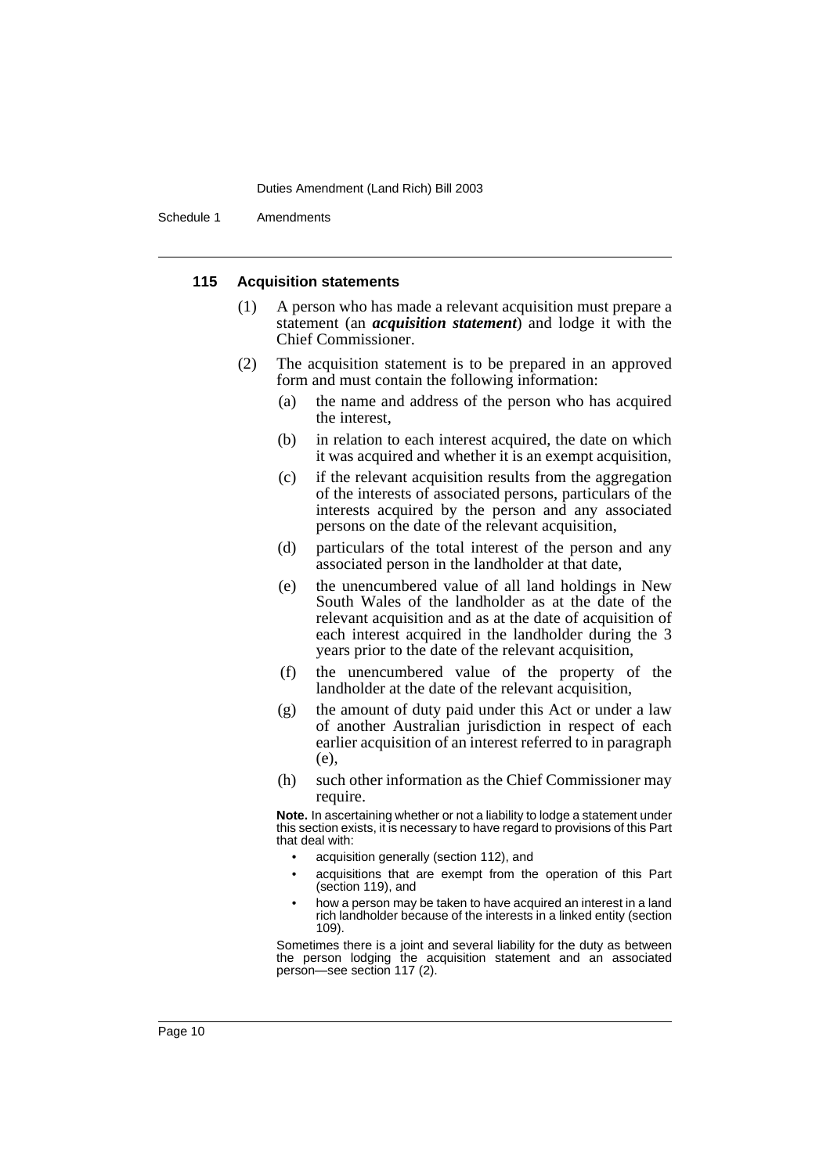Schedule 1 Amendments

#### **115 Acquisition statements**

- (1) A person who has made a relevant acquisition must prepare a statement (an *acquisition statement*) and lodge it with the Chief Commissioner.
- (2) The acquisition statement is to be prepared in an approved form and must contain the following information:
	- (a) the name and address of the person who has acquired the interest,
	- (b) in relation to each interest acquired, the date on which it was acquired and whether it is an exempt acquisition,
	- (c) if the relevant acquisition results from the aggregation of the interests of associated persons, particulars of the interests acquired by the person and any associated persons on the date of the relevant acquisition,
	- (d) particulars of the total interest of the person and any associated person in the landholder at that date,
	- (e) the unencumbered value of all land holdings in New South Wales of the landholder as at the date of the relevant acquisition and as at the date of acquisition of each interest acquired in the landholder during the 3 years prior to the date of the relevant acquisition,
	- (f) the unencumbered value of the property of the landholder at the date of the relevant acquisition,
	- (g) the amount of duty paid under this Act or under a law of another Australian jurisdiction in respect of each earlier acquisition of an interest referred to in paragraph (e),
	- (h) such other information as the Chief Commissioner may require.

**Note.** In ascertaining whether or not a liability to lodge a statement under this section exists, it is necessary to have regard to provisions of this Part that deal with:

- acquisition generally (section 112), and
- acquisitions that are exempt from the operation of this Part (section 119), and
- how a person may be taken to have acquired an interest in a land rich landholder because of the interests in a linked entity (section 109).

Sometimes there is a joint and several liability for the duty as between the person lodging the acquisition statement and an associated person—see section 117 (2).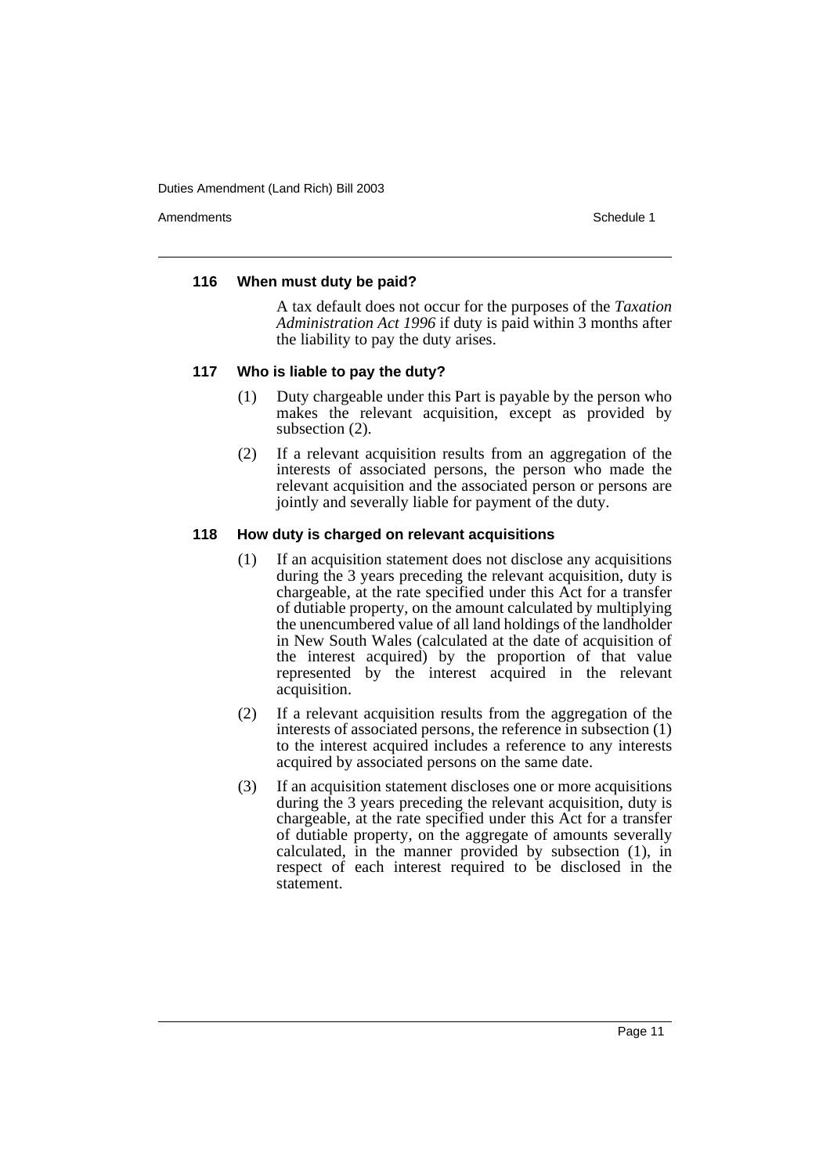Amendments **Amendments** Schedule 1

## **116 When must duty be paid?**

A tax default does not occur for the purposes of the *Taxation Administration Act 1996* if duty is paid within 3 months after the liability to pay the duty arises.

## **117 Who is liable to pay the duty?**

- (1) Duty chargeable under this Part is payable by the person who makes the relevant acquisition, except as provided by subsection  $(2)$ .
- (2) If a relevant acquisition results from an aggregation of the interests of associated persons, the person who made the relevant acquisition and the associated person or persons are jointly and severally liable for payment of the duty.

## **118 How duty is charged on relevant acquisitions**

- (1) If an acquisition statement does not disclose any acquisitions during the 3 years preceding the relevant acquisition, duty is chargeable, at the rate specified under this Act for a transfer of dutiable property, on the amount calculated by multiplying the unencumbered value of all land holdings of the landholder in New South Wales (calculated at the date of acquisition of the interest acquired) by the proportion of that value represented by the interest acquired in the relevant acquisition.
- (2) If a relevant acquisition results from the aggregation of the interests of associated persons, the reference in subsection (1) to the interest acquired includes a reference to any interests acquired by associated persons on the same date.
- (3) If an acquisition statement discloses one or more acquisitions during the 3 years preceding the relevant acquisition, duty is chargeable, at the rate specified under this Act for a transfer of dutiable property, on the aggregate of amounts severally calculated, in the manner provided by subsection (1), in respect of each interest required to be disclosed in the statement.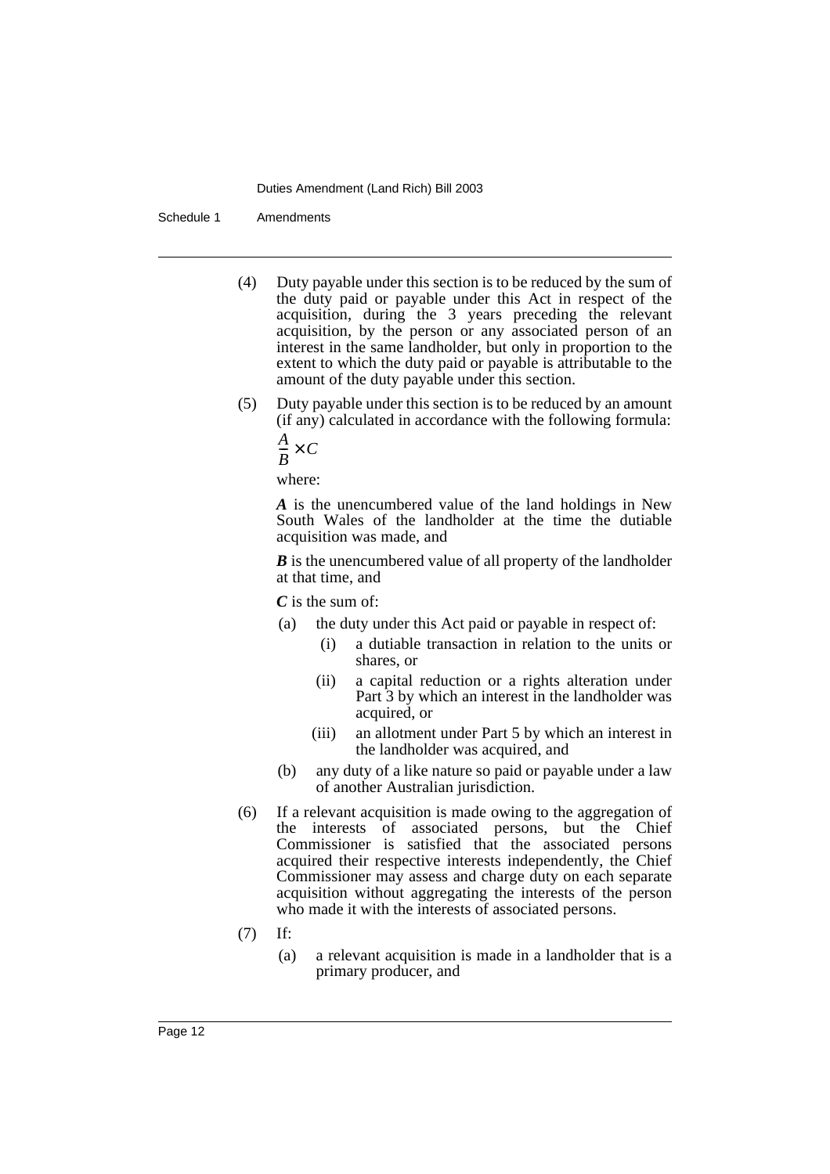Schedule 1 Amendments

- (4) Duty payable under this section is to be reduced by the sum of the duty paid or payable under this Act in respect of the acquisition, during the 3 years preceding the relevant acquisition, by the person or any associated person of an interest in the same landholder, but only in proportion to the extent to which the duty paid or payable is attributable to the amount of the duty payable under this section.
- (5) Duty payable under this section is to be reduced by an amount (if any) calculated in accordance with the following formula:

$$
\frac{A}{B} \times C
$$

where:

*A* is the unencumbered value of the land holdings in New South Wales of the landholder at the time the dutiable acquisition was made, and

*B* is the unencumbered value of all property of the landholder at that time, and

*C* is the sum of:

- (a) the duty under this Act paid or payable in respect of:
	- (i) a dutiable transaction in relation to the units or shares, or
	- (ii) a capital reduction or a rights alteration under Part 3 by which an interest in the landholder was acquired, or
	- (iii) an allotment under Part 5 by which an interest in the landholder was acquired, and
- (b) any duty of a like nature so paid or payable under a law of another Australian jurisdiction.
- (6) If a relevant acquisition is made owing to the aggregation of the interests of associated persons, but the Chief Commissioner is satisfied that the associated persons acquired their respective interests independently, the Chief Commissioner may assess and charge duty on each separate acquisition without aggregating the interests of the person who made it with the interests of associated persons.
- (7) If:
	- (a) a relevant acquisition is made in a landholder that is a primary producer, and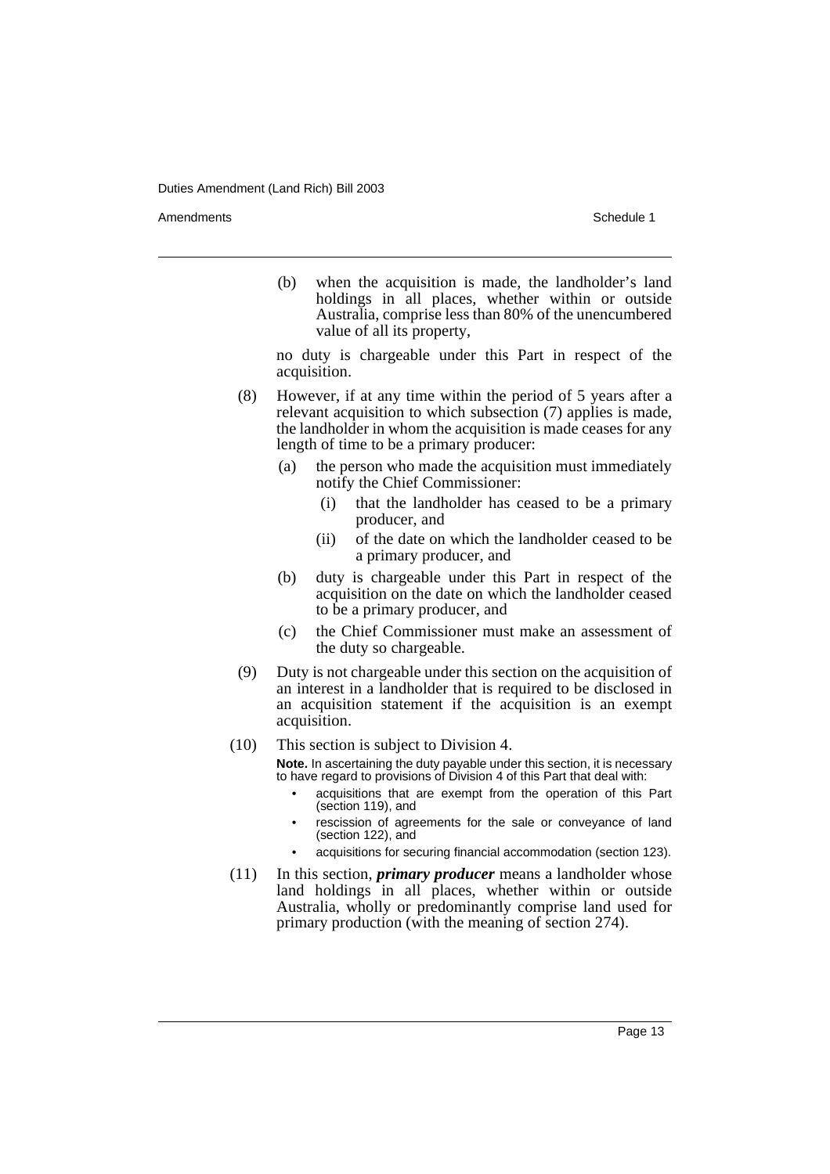Amendments **Amendments** Schedule 1

(b) when the acquisition is made, the landholder's land holdings in all places, whether within or outside Australia, comprise less than 80% of the unencumbered value of all its property,

no duty is chargeable under this Part in respect of the acquisition.

- (8) However, if at any time within the period of 5 years after a relevant acquisition to which subsection (7) applies is made, the landholder in whom the acquisition is made ceases for any length of time to be a primary producer:
	- (a) the person who made the acquisition must immediately notify the Chief Commissioner:
		- (i) that the landholder has ceased to be a primary producer, and
		- (ii) of the date on which the landholder ceased to be a primary producer, and
	- (b) duty is chargeable under this Part in respect of the acquisition on the date on which the landholder ceased to be a primary producer, and
	- (c) the Chief Commissioner must make an assessment of the duty so chargeable.
- (9) Duty is not chargeable under this section on the acquisition of an interest in a landholder that is required to be disclosed in an acquisition statement if the acquisition is an exempt acquisition.
- (10) This section is subject to Division 4.

**Note.** In ascertaining the duty payable under this section, it is necessary to have regard to provisions of Division 4 of this Part that deal with:

- acquisitions that are exempt from the operation of this Part (section 119), and
- rescission of agreements for the sale or conveyance of land (section 122), and
- acquisitions for securing financial accommodation (section 123).
- (11) In this section, *primary producer* means a landholder whose land holdings in all places, whether within or outside Australia, wholly or predominantly comprise land used for primary production (with the meaning of section 274).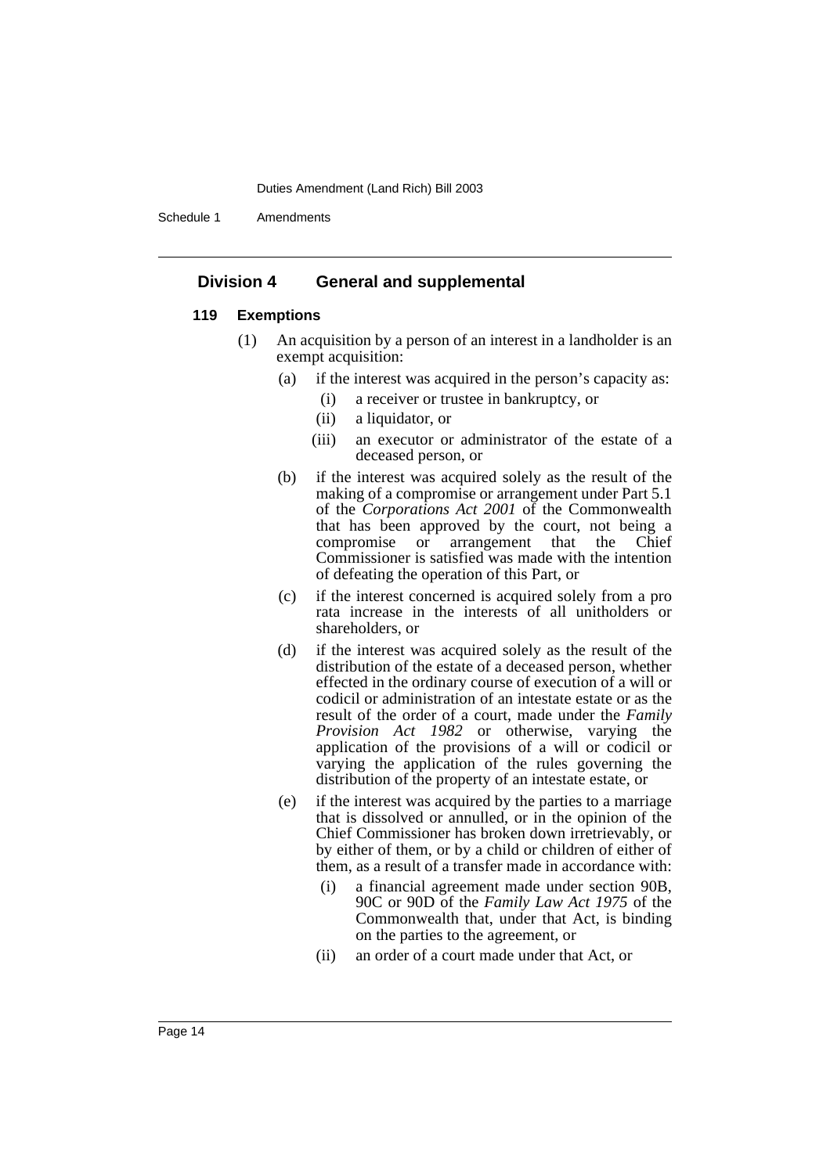Schedule 1 Amendments

## **Division 4 General and supplemental**

## **119 Exemptions**

- (1) An acquisition by a person of an interest in a landholder is an exempt acquisition:
	- (a) if the interest was acquired in the person's capacity as:
		- (i) a receiver or trustee in bankruptcy, or
		- (ii) a liquidator, or
		- (iii) an executor or administrator of the estate of a deceased person, or
	- (b) if the interest was acquired solely as the result of the making of a compromise or arrangement under Part 5.1 of the *Corporations Act 2001* of the Commonwealth that has been approved by the court, not being a arrangement that the Commissioner is satisfied was made with the intention of defeating the operation of this Part, or
	- (c) if the interest concerned is acquired solely from a pro rata increase in the interests of all unitholders or shareholders, or
	- (d) if the interest was acquired solely as the result of the distribution of the estate of a deceased person, whether effected in the ordinary course of execution of a will or codicil or administration of an intestate estate or as the result of the order of a court, made under the *Family Provision Act 1982* or otherwise, varying the application of the provisions of a will or codicil or varying the application of the rules governing the distribution of the property of an intestate estate, or
	- (e) if the interest was acquired by the parties to a marriage that is dissolved or annulled, or in the opinion of the Chief Commissioner has broken down irretrievably, or by either of them, or by a child or children of either of them, as a result of a transfer made in accordance with:
		- (i) a financial agreement made under section 90B, 90C or 90D of the *Family Law Act 1975* of the Commonwealth that, under that Act, is binding on the parties to the agreement, or
		- (ii) an order of a court made under that Act, or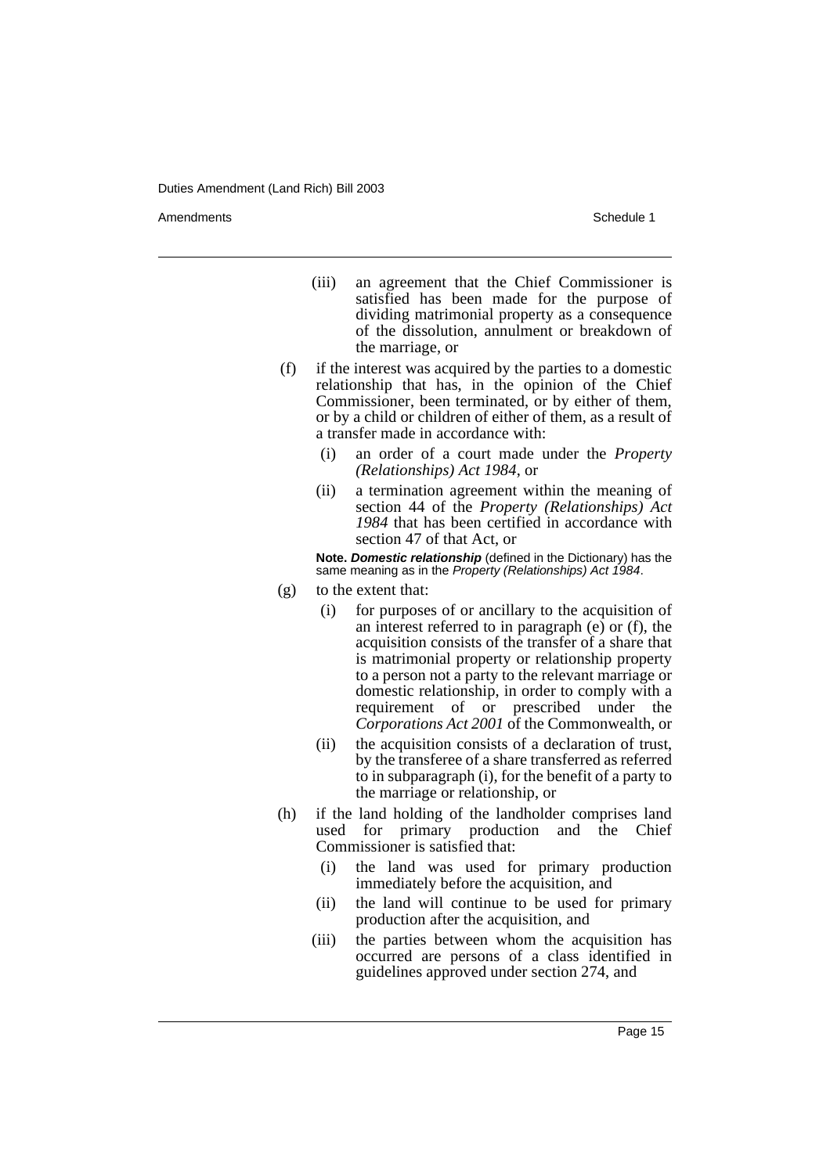Amendments **Amendments** Schedule 1

- (iii) an agreement that the Chief Commissioner is satisfied has been made for the purpose of dividing matrimonial property as a consequence of the dissolution, annulment or breakdown of the marriage, or
- (f) if the interest was acquired by the parties to a domestic relationship that has, in the opinion of the Chief Commissioner, been terminated, or by either of them, or by a child or children of either of them, as a result of a transfer made in accordance with:
	- (i) an order of a court made under the *Property (Relationships) Act 1984*, or
	- (ii) a termination agreement within the meaning of section 44 of the *Property (Relationships) Act 1984* that has been certified in accordance with section 47 of that Act, or

**Note. Domestic relationship** (defined in the Dictionary) has the same meaning as in the *Property (Relationships) Act 1984*.

- (g) to the extent that:
	- (i) for purposes of or ancillary to the acquisition of an interest referred to in paragraph  $(e)$  or  $(f)$ , the acquisition consists of the transfer of a share that is matrimonial property or relationship property to a person not a party to the relevant marriage or domestic relationship, in order to comply with a requirement of or prescribed under the *Corporations Act 2001* of the Commonwealth, or
	- (ii) the acquisition consists of a declaration of trust, by the transferee of a share transferred as referred to in subparagraph (i), for the benefit of a party to the marriage or relationship, or
- (h) if the land holding of the landholder comprises land used for primary production and the Chief Commissioner is satisfied that:
	- (i) the land was used for primary production immediately before the acquisition, and
	- (ii) the land will continue to be used for primary production after the acquisition, and
	- (iii) the parties between whom the acquisition has occurred are persons of a class identified in guidelines approved under section 274, and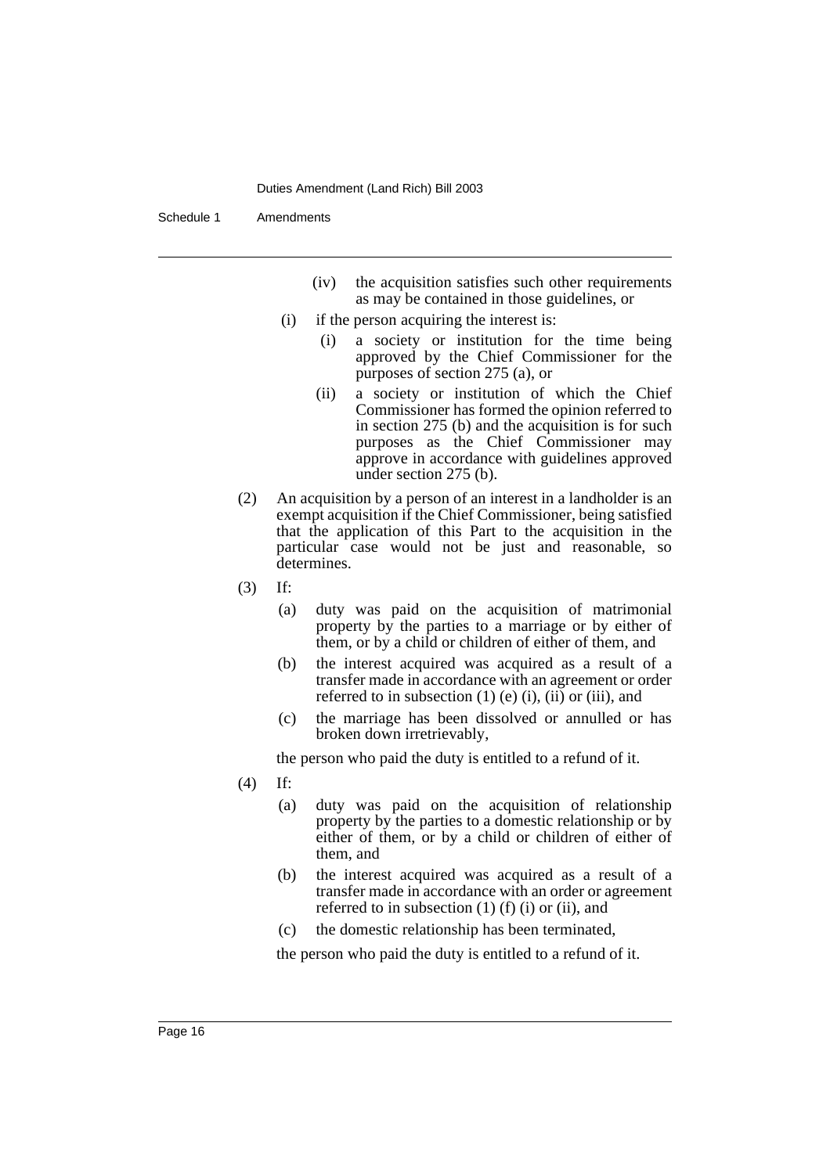Schedule 1 Amendments

- (iv) the acquisition satisfies such other requirements as may be contained in those guidelines, or
- (i) if the person acquiring the interest is:
	- (i) a society or institution for the time being approved by the Chief Commissioner for the purposes of section 275 (a), or
	- (ii) a society or institution of which the Chief Commissioner has formed the opinion referred to in section 275 (b) and the acquisition is for such purposes as the Chief Commissioner may approve in accordance with guidelines approved under section 275 (b).
- (2) An acquisition by a person of an interest in a landholder is an exempt acquisition if the Chief Commissioner, being satisfied that the application of this Part to the acquisition in the particular case would not be just and reasonable, so determines.
- (3) If:
	- (a) duty was paid on the acquisition of matrimonial property by the parties to a marriage or by either of them, or by a child or children of either of them, and
	- (b) the interest acquired was acquired as a result of a transfer made in accordance with an agreement or order referred to in subsection  $(1)$  (e)  $(i)$ ,  $(ii)$  or  $(iii)$ , and
	- (c) the marriage has been dissolved or annulled or has broken down irretrievably,

the person who paid the duty is entitled to a refund of it.

- (4) If:
	- (a) duty was paid on the acquisition of relationship property by the parties to a domestic relationship or by either of them, or by a child or children of either of them, and
	- (b) the interest acquired was acquired as a result of a transfer made in accordance with an order or agreement referred to in subsection  $(1)$   $(f)$   $(i)$  or  $(ii)$ , and
	- (c) the domestic relationship has been terminated,

the person who paid the duty is entitled to a refund of it.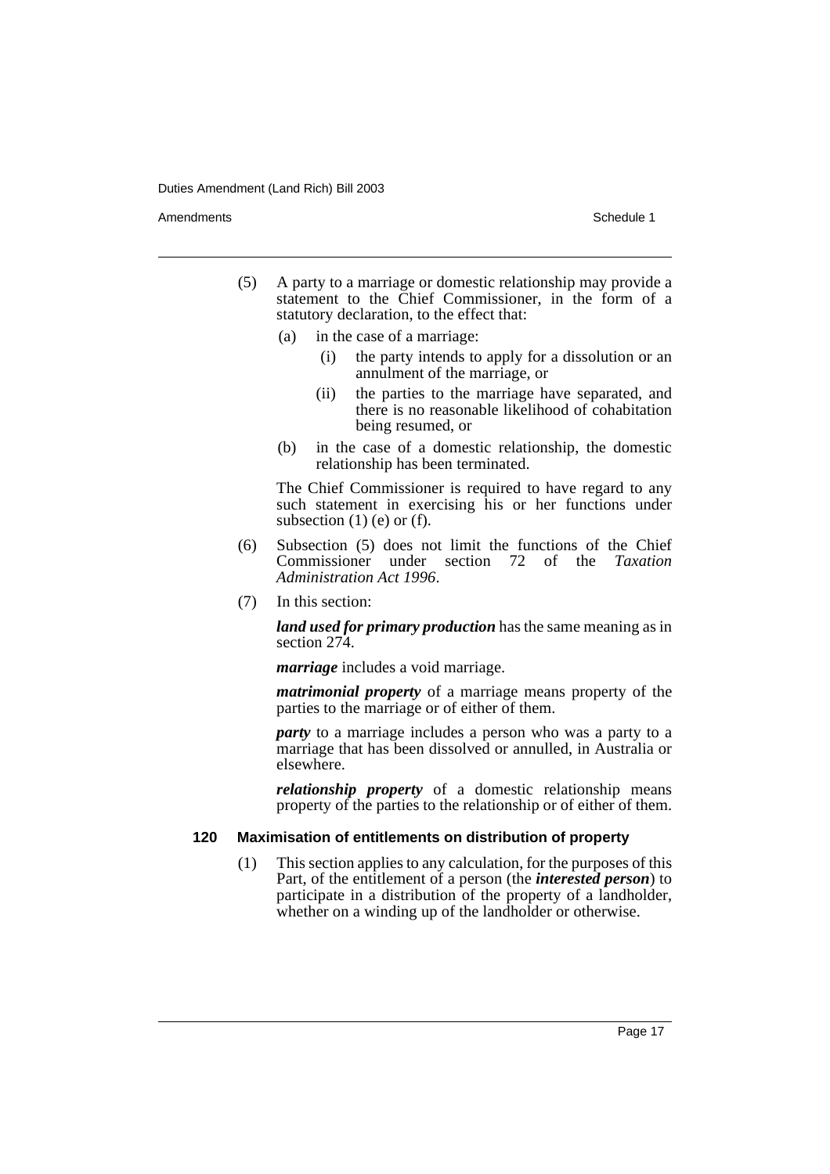Amendments **Amendments** Schedule 1

- (5) A party to a marriage or domestic relationship may provide a statement to the Chief Commissioner, in the form of a statutory declaration, to the effect that:
	- (a) in the case of a marriage:
		- (i) the party intends to apply for a dissolution or an annulment of the marriage, or
		- (ii) the parties to the marriage have separated, and there is no reasonable likelihood of cohabitation being resumed, or
	- (b) in the case of a domestic relationship, the domestic relationship has been terminated.

The Chief Commissioner is required to have regard to any such statement in exercising his or her functions under subsection  $(1)$  (e) or  $(f)$ .

- (6) Subsection (5) does not limit the functions of the Chief Commissioner under section 72 of the *Taxation Administration Act 1996*.
- (7) In this section:

*land used for primary production* has the same meaning as in section 274.

*marriage* includes a void marriage.

*matrimonial property* of a marriage means property of the parties to the marriage or of either of them.

*party* to a marriage includes a person who was a party to a marriage that has been dissolved or annulled, in Australia or elsewhere.

*relationship property* of a domestic relationship means property of the parties to the relationship or of either of them.

## **120 Maximisation of entitlements on distribution of property**

(1) This section applies to any calculation, for the purposes of this Part, of the entitlement of a person (the *interested person*) to participate in a distribution of the property of a landholder, whether on a winding up of the landholder or otherwise.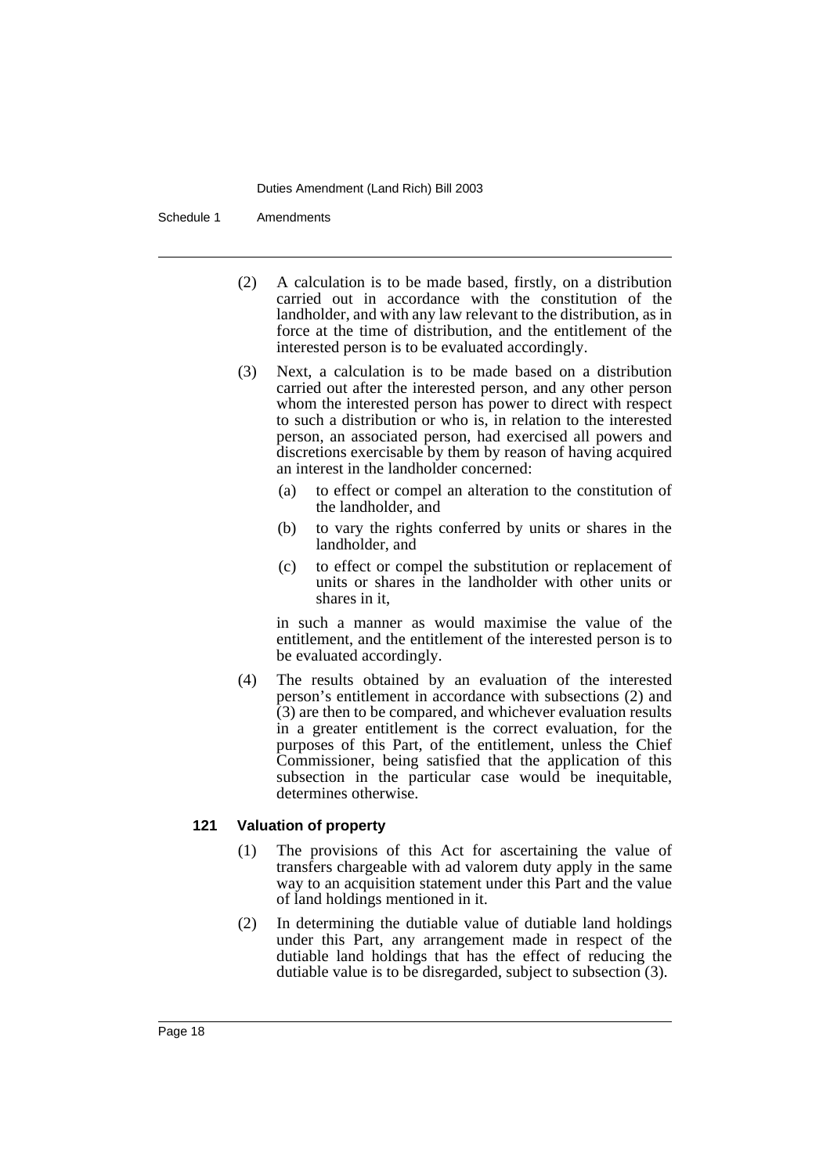Schedule 1 Amendments

- (2) A calculation is to be made based, firstly, on a distribution carried out in accordance with the constitution of the landholder, and with any law relevant to the distribution, as in force at the time of distribution, and the entitlement of the interested person is to be evaluated accordingly.
- (3) Next, a calculation is to be made based on a distribution carried out after the interested person, and any other person whom the interested person has power to direct with respect to such a distribution or who is, in relation to the interested person, an associated person, had exercised all powers and discretions exercisable by them by reason of having acquired an interest in the landholder concerned:
	- (a) to effect or compel an alteration to the constitution of the landholder, and
	- (b) to vary the rights conferred by units or shares in the landholder, and
	- (c) to effect or compel the substitution or replacement of units or shares in the landholder with other units or shares in it,

in such a manner as would maximise the value of the entitlement, and the entitlement of the interested person is to be evaluated accordingly.

(4) The results obtained by an evaluation of the interested person's entitlement in accordance with subsections (2) and (3) are then to be compared, and whichever evaluation results in a greater entitlement is the correct evaluation, for the purposes of this Part, of the entitlement, unless the Chief Commissioner, being satisfied that the application of this subsection in the particular case would be inequitable, determines otherwise.

## **121 Valuation of property**

- (1) The provisions of this Act for ascertaining the value of transfers chargeable with ad valorem duty apply in the same way to an acquisition statement under this Part and the value of land holdings mentioned in it.
- (2) In determining the dutiable value of dutiable land holdings under this Part, any arrangement made in respect of the dutiable land holdings that has the effect of reducing the dutiable value is to be disregarded, subject to subsection (3).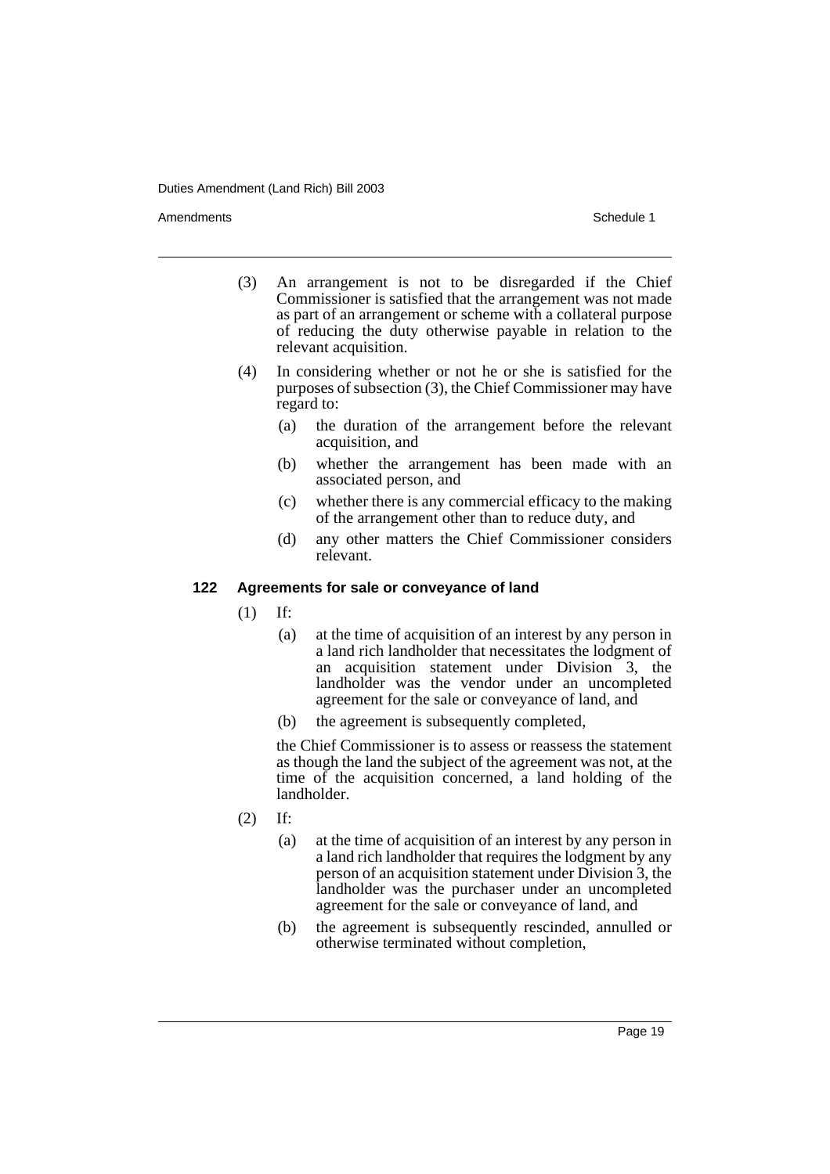Amendments **Amendments** Schedule 1

- (3) An arrangement is not to be disregarded if the Chief Commissioner is satisfied that the arrangement was not made as part of an arrangement or scheme with a collateral purpose of reducing the duty otherwise payable in relation to the relevant acquisition.
- (4) In considering whether or not he or she is satisfied for the purposes of subsection (3), the Chief Commissioner may have regard to:
	- (a) the duration of the arrangement before the relevant acquisition, and
	- (b) whether the arrangement has been made with an associated person, and
	- (c) whether there is any commercial efficacy to the making of the arrangement other than to reduce duty, and
	- (d) any other matters the Chief Commissioner considers relevant.

## **122 Agreements for sale or conveyance of land**

(1) If:

- (a) at the time of acquisition of an interest by any person in a land rich landholder that necessitates the lodgment of an acquisition statement under Division 3, the landholder was the vendor under an uncompleted agreement for the sale or conveyance of land, and
- (b) the agreement is subsequently completed,

the Chief Commissioner is to assess or reassess the statement as though the land the subject of the agreement was not, at the time of the acquisition concerned, a land holding of the landholder.

- (2) If:
	- (a) at the time of acquisition of an interest by any person in a land rich landholder that requires the lodgment by any person of an acquisition statement under Division 3, the landholder was the purchaser under an uncompleted agreement for the sale or conveyance of land, and
	- (b) the agreement is subsequently rescinded, annulled or otherwise terminated without completion,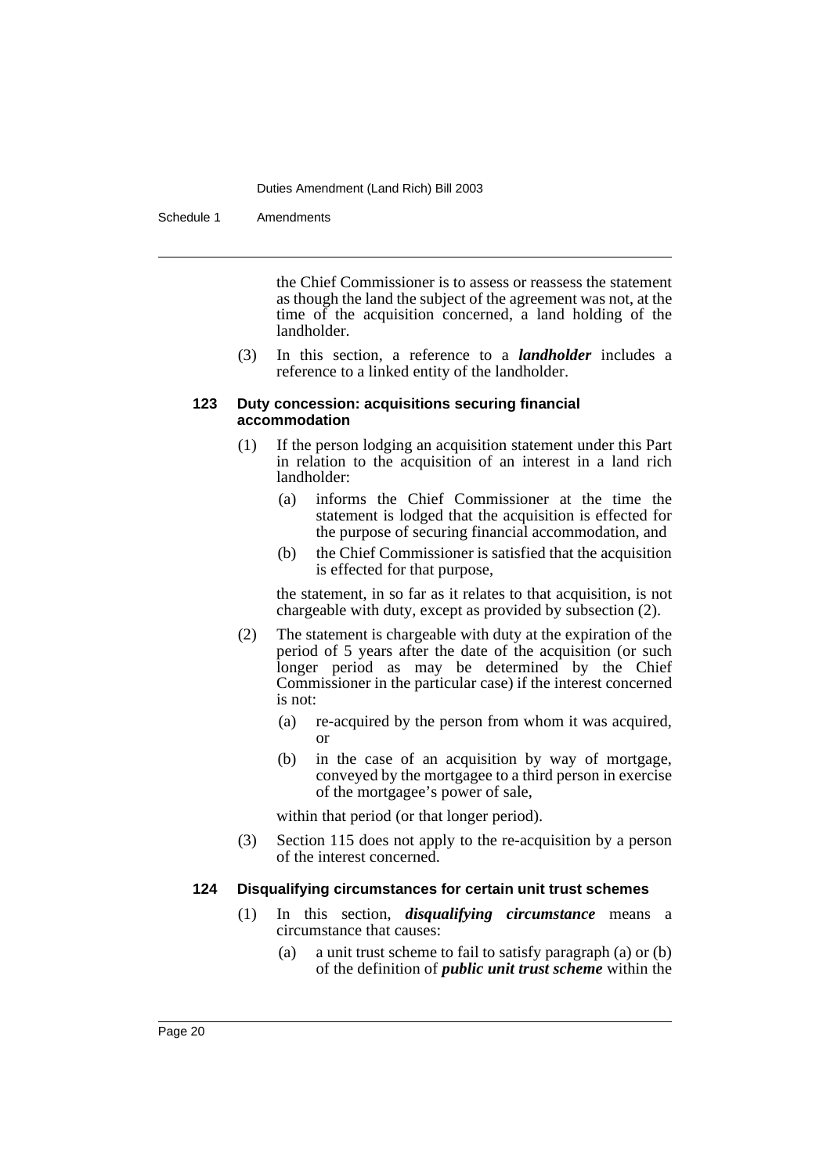Schedule 1 Amendments

the Chief Commissioner is to assess or reassess the statement as though the land the subject of the agreement was not, at the time of the acquisition concerned, a land holding of the landholder.

(3) In this section, a reference to a *landholder* includes a reference to a linked entity of the landholder.

#### **123 Duty concession: acquisitions securing financial accommodation**

- (1) If the person lodging an acquisition statement under this Part in relation to the acquisition of an interest in a land rich landholder:
	- (a) informs the Chief Commissioner at the time the statement is lodged that the acquisition is effected for the purpose of securing financial accommodation, and
	- (b) the Chief Commissioner is satisfied that the acquisition is effected for that purpose,

the statement, in so far as it relates to that acquisition, is not chargeable with duty, except as provided by subsection (2).

- (2) The statement is chargeable with duty at the expiration of the period of 5 years after the date of the acquisition (or such longer period as may be determined by the Chief Commissioner in the particular case) if the interest concerned is not:
	- (a) re-acquired by the person from whom it was acquired, or
	- (b) in the case of an acquisition by way of mortgage, conveyed by the mortgagee to a third person in exercise of the mortgagee's power of sale,

within that period (or that longer period).

(3) Section 115 does not apply to the re-acquisition by a person of the interest concerned.

## **124 Disqualifying circumstances for certain unit trust schemes**

- (1) In this section, *disqualifying circumstance* means a circumstance that causes:
	- (a) a unit trust scheme to fail to satisfy paragraph (a) or (b) of the definition of *public unit trust scheme* within the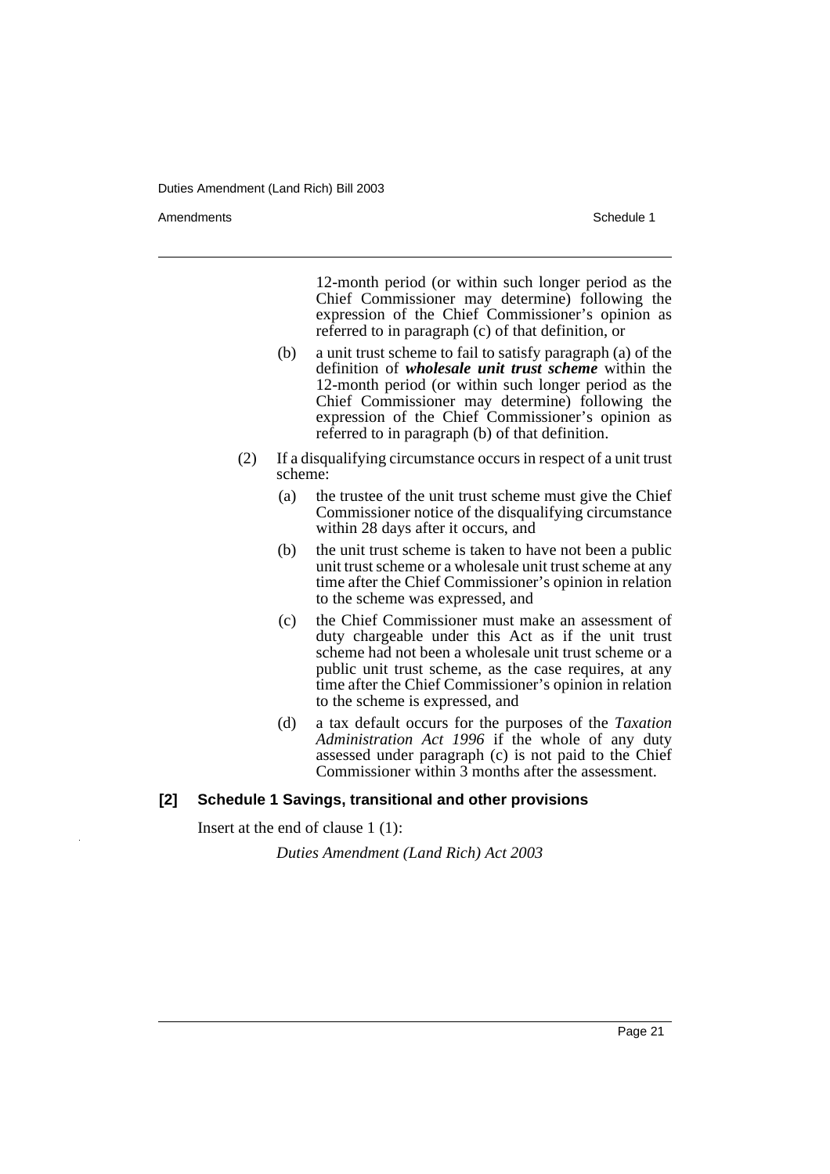Amendments **Amendments** Schedule 1

12-month period (or within such longer period as the Chief Commissioner may determine) following the expression of the Chief Commissioner's opinion as referred to in paragraph (c) of that definition, or

- (b) a unit trust scheme to fail to satisfy paragraph (a) of the definition of *wholesale unit trust scheme* within the 12-month period (or within such longer period as the Chief Commissioner may determine) following the expression of the Chief Commissioner's opinion as referred to in paragraph (b) of that definition.
- (2) If a disqualifying circumstance occurs in respect of a unit trust scheme:
	- (a) the trustee of the unit trust scheme must give the Chief Commissioner notice of the disqualifying circumstance within 28 days after it occurs, and
	- (b) the unit trust scheme is taken to have not been a public unit trust scheme or a wholesale unit trust scheme at any time after the Chief Commissioner's opinion in relation to the scheme was expressed, and
	- (c) the Chief Commissioner must make an assessment of duty chargeable under this Act as if the unit trust scheme had not been a wholesale unit trust scheme or a public unit trust scheme, as the case requires, at any time after the Chief Commissioner's opinion in relation to the scheme is expressed, and
	- (d) a tax default occurs for the purposes of the *Taxation Administration Act 1996* if the whole of any duty assessed under paragraph (c) is not paid to the Chief Commissioner within 3 months after the assessment.

## **[2] Schedule 1 Savings, transitional and other provisions**

Insert at the end of clause 1 (1):

*Duties Amendment (Land Rich) Act 2003*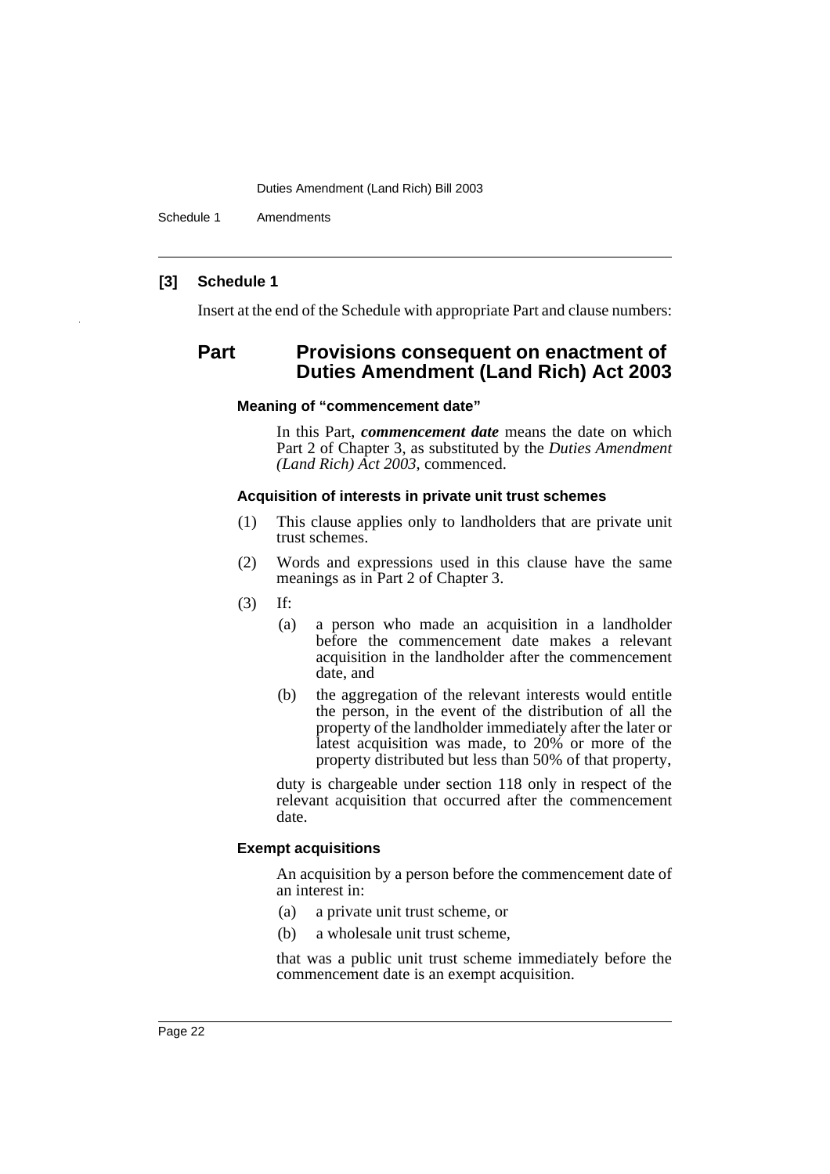Schedule 1 Amendments

## **[3] Schedule 1**

Insert at the end of the Schedule with appropriate Part and clause numbers:

## **Part Provisions consequent on enactment of Duties Amendment (Land Rich) Act 2003**

## **Meaning of "commencement date"**

In this Part, *commencement date* means the date on which Part 2 of Chapter 3, as substituted by the *Duties Amendment (Land Rich) Act 2003*, commenced.

#### **Acquisition of interests in private unit trust schemes**

- (1) This clause applies only to landholders that are private unit trust schemes.
- (2) Words and expressions used in this clause have the same meanings as in Part 2 of Chapter 3.
- (3) If:
	- (a) a person who made an acquisition in a landholder before the commencement date makes a relevant acquisition in the landholder after the commencement date, and
	- (b) the aggregation of the relevant interests would entitle the person, in the event of the distribution of all the property of the landholder immediately after the later or latest acquisition was made, to 20% or more of the property distributed but less than 50% of that property,

duty is chargeable under section 118 only in respect of the relevant acquisition that occurred after the commencement date.

## **Exempt acquisitions**

An acquisition by a person before the commencement date of an interest in:

- (a) a private unit trust scheme, or
- (b) a wholesale unit trust scheme,

that was a public unit trust scheme immediately before the commencement date is an exempt acquisition.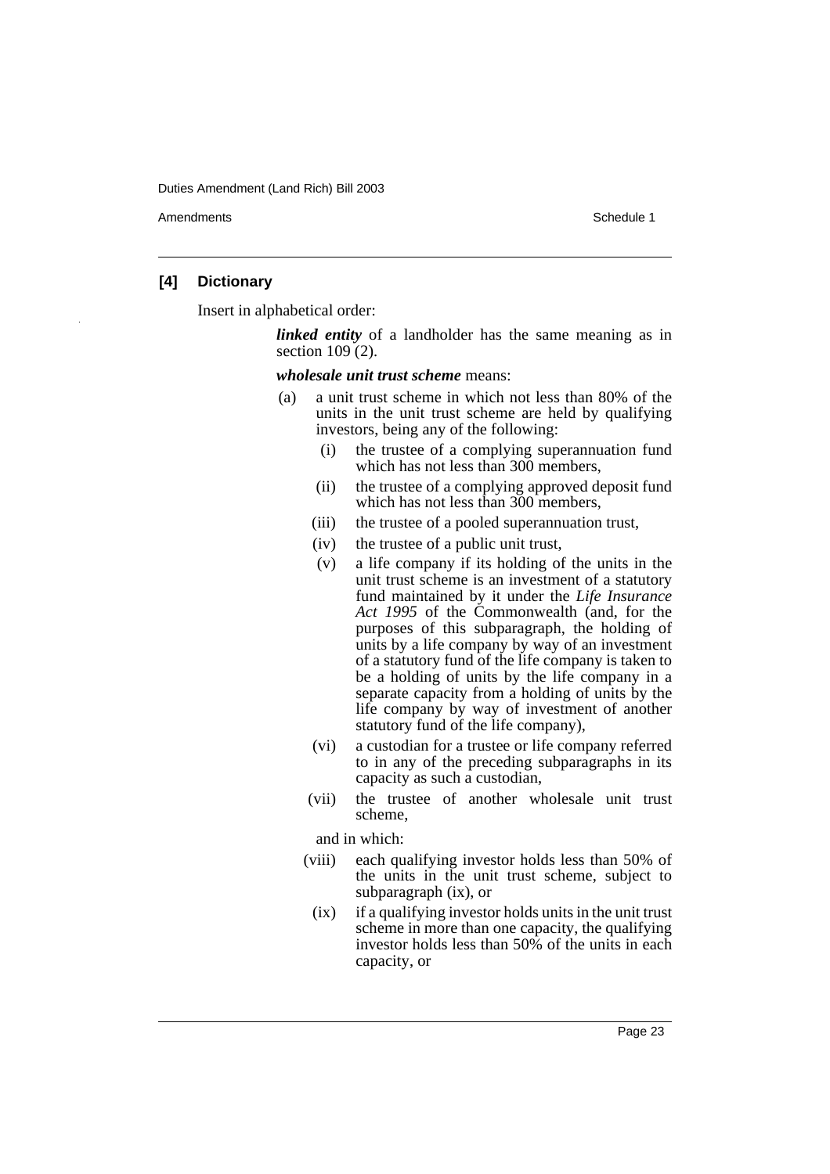Amendments **Amendments** Schedule 1

## **[4] Dictionary**

Insert in alphabetical order:

*linked entity* of a landholder has the same meaning as in section 109 (2).

*wholesale unit trust scheme* means:

- (a) a unit trust scheme in which not less than 80% of the units in the unit trust scheme are held by qualifying investors, being any of the following:
	- (i) the trustee of a complying superannuation fund which has not less than 300 members,
	- (ii) the trustee of a complying approved deposit fund which has not less than 300 members,
	- (iii) the trustee of a pooled superannuation trust,
	- (iv) the trustee of a public unit trust,
	- (v) a life company if its holding of the units in the unit trust scheme is an investment of a statutory fund maintained by it under the *Life Insurance* Act 1995 of the Commonwealth (and, for the purposes of this subparagraph, the holding of units by a life company by way of an investment of a statutory fund of the life company is taken to be a holding of units by the life company in a separate capacity from a holding of units by the life company by way of investment of another statutory fund of the life company),
	- (vi) a custodian for a trustee or life company referred to in any of the preceding subparagraphs in its capacity as such a custodian,
	- (vii) the trustee of another wholesale unit trust scheme,

and in which:

- (viii) each qualifying investor holds less than 50% of the units in the unit trust scheme, subject to subparagraph (ix), or
	- (ix) if a qualifying investor holds units in the unit trust scheme in more than one capacity, the qualifying investor holds less than 50% of the units in each capacity, or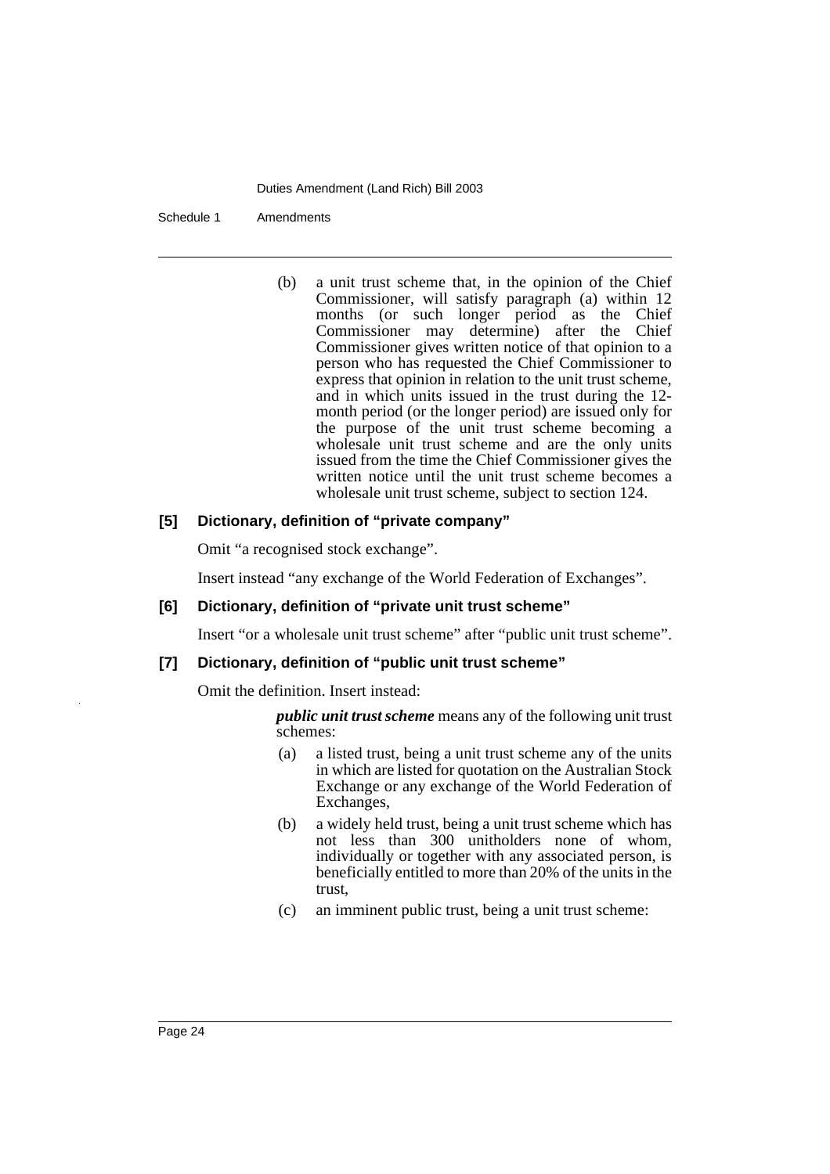Schedule 1 Amendments

(b) a unit trust scheme that, in the opinion of the Chief Commissioner, will satisfy paragraph (a) within 12 months (or such longer period as the Chief Commissioner may determine) after the Chief Commissioner gives written notice of that opinion to a person who has requested the Chief Commissioner to express that opinion in relation to the unit trust scheme, and in which units issued in the trust during the 12 month period (or the longer period) are issued only for the purpose of the unit trust scheme becoming a wholesale unit trust scheme and are the only units issued from the time the Chief Commissioner gives the written notice until the unit trust scheme becomes a wholesale unit trust scheme, subject to section 124.

## **[5] Dictionary, definition of "private company"**

Omit "a recognised stock exchange".

Insert instead "any exchange of the World Federation of Exchanges".

## **[6] Dictionary, definition of "private unit trust scheme"**

Insert "or a wholesale unit trust scheme" after "public unit trust scheme".

## **[7] Dictionary, definition of "public unit trust scheme"**

Omit the definition. Insert instead:

*public unit trust scheme* means any of the following unit trust schemes:

- (a) a listed trust, being a unit trust scheme any of the units in which are listed for quotation on the Australian Stock Exchange or any exchange of the World Federation of Exchanges,
- (b) a widely held trust, being a unit trust scheme which has not less than 300 unitholders none of whom, individually or together with any associated person, is beneficially entitled to more than 20% of the units in the trust,
- (c) an imminent public trust, being a unit trust scheme: